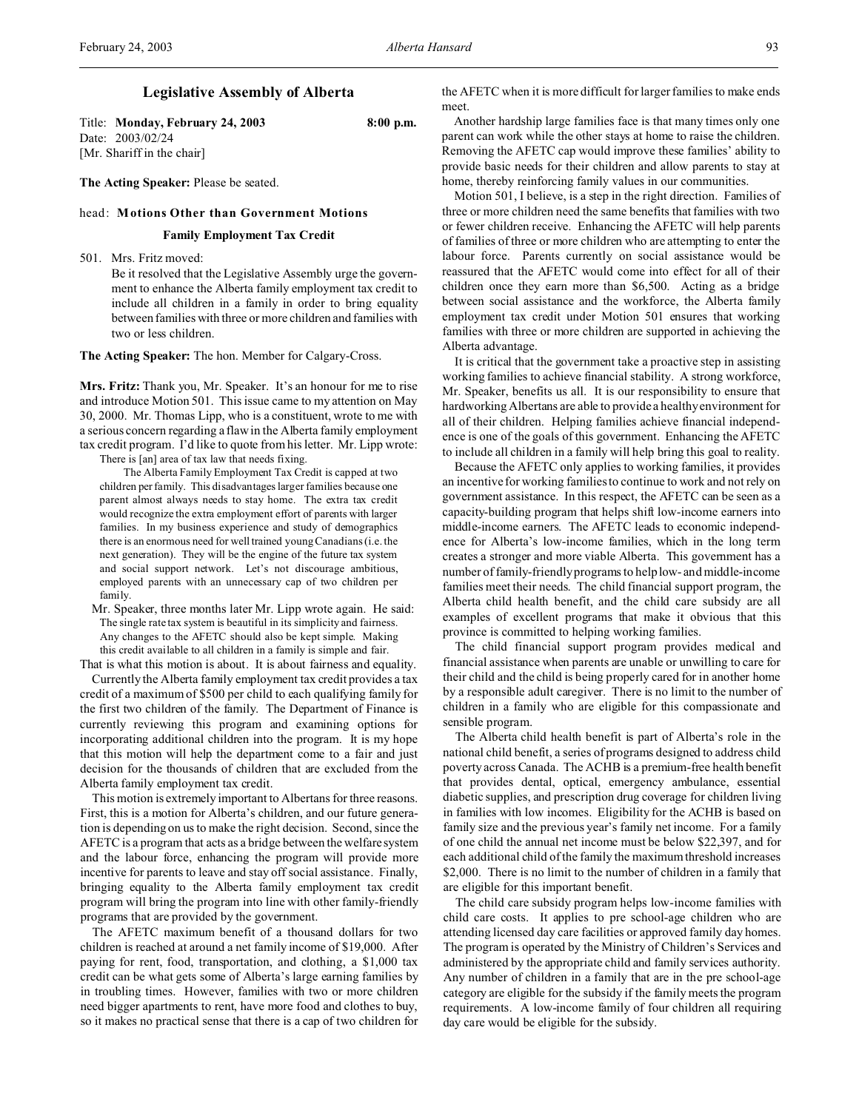Title: **Monday, February 24, 2003 8:00 p.m.** Date: 2003/02/24 [Mr. Shariff in the chair]

**The Acting Speaker:** Please be seated.

#### head: **Motions Other than Government Motions**

#### **Family Employment Tax Credit**

501. Mrs. Fritz moved:

Be it resolved that the Legislative Assembly urge the government to enhance the Alberta family employment tax credit to include all children in a family in order to bring equality between families with three or more children and families with two or less children.

**The Acting Speaker:** The hon. Member for Calgary-Cross.

**Mrs. Fritz:** Thank you, Mr. Speaker. It's an honour for me to rise and introduce Motion 501. This issue came to my attention on May 30, 2000. Mr. Thomas Lipp, who is a constituent, wrote to me with a serious concern regarding a flaw in the Alberta family employment tax credit program. I'd like to quote from his letter. Mr. Lipp wrote: There is [an] area of tax law that needs fixing.

The Alberta Family Employment Tax Credit is capped at two children per family. This disadvantages larger families because one parent almost always needs to stay home. The extra tax credit would recognize the extra employment effort of parents with larger families. In my business experience and study of demographics there is an enormous need for well trained young Canadians (i.e. the next generation). They will be the engine of the future tax system and social support network. Let's not discourage ambitious, employed parents with an unnecessary cap of two children per family.

Mr. Speaker, three months later Mr. Lipp wrote again. He said: The single rate tax system is beautiful in its simplicity and fairness. Any changes to the AFETC should also be kept simple. Making this credit available to all children in a family is simple and fair.

That is what this motion is about. It is about fairness and equality.

Currently the Alberta family employment tax credit provides a tax credit of a maximum of \$500 per child to each qualifying family for the first two children of the family. The Department of Finance is currently reviewing this program and examining options for incorporating additional children into the program. It is my hope that this motion will help the department come to a fair and just decision for the thousands of children that are excluded from the Alberta family employment tax credit.

This motion is extremely important to Albertans for three reasons. First, this is a motion for Alberta's children, and our future generation is depending on us to make the right decision. Second, since the AFETC is a program that acts as a bridge between the welfare system and the labour force, enhancing the program will provide more incentive for parents to leave and stay off social assistance. Finally, bringing equality to the Alberta family employment tax credit program will bring the program into line with other family-friendly programs that are provided by the government.

The AFETC maximum benefit of a thousand dollars for two children is reached at around a net family income of \$19,000. After paying for rent, food, transportation, and clothing, a \$1,000 tax credit can be what gets some of Alberta's large earning families by in troubling times. However, families with two or more children need bigger apartments to rent, have more food and clothes to buy, so it makes no practical sense that there is a cap of two children for the AFETC when it is more difficult for larger families to make ends meet.

Another hardship large families face is that many times only one parent can work while the other stays at home to raise the children. Removing the AFETC cap would improve these families' ability to provide basic needs for their children and allow parents to stay at home, thereby reinforcing family values in our communities.

Motion 501, I believe, is a step in the right direction. Families of three or more children need the same benefits that families with two or fewer children receive. Enhancing the AFETC will help parents of families of three or more children who are attempting to enter the labour force. Parents currently on social assistance would be reassured that the AFETC would come into effect for all of their children once they earn more than \$6,500. Acting as a bridge between social assistance and the workforce, the Alberta family employment tax credit under Motion 501 ensures that working families with three or more children are supported in achieving the Alberta advantage.

It is critical that the government take a proactive step in assisting working families to achieve financial stability. A strong workforce, Mr. Speaker, benefits us all. It is our responsibility to ensure that hardworking Albertans are able to provide a healthy environment for all of their children. Helping families achieve financial independence is one of the goals of this government. Enhancing the AFETC to include all children in a family will help bring this goal to reality.

Because the AFETC only applies to working families, it provides an incentive for working families to continue to work and not rely on government assistance. In this respect, the AFETC can be seen as a capacity-building program that helps shift low-income earners into middle-income earners. The AFETC leads to economic independence for Alberta's low-income families, which in the long term creates a stronger and more viable Alberta. This government has a number of family-friendly programs to help low- and middle-income families meet their needs. The child financial support program, the Alberta child health benefit, and the child care subsidy are all examples of excellent programs that make it obvious that this province is committed to helping working families.

The child financial support program provides medical and financial assistance when parents are unable or unwilling to care for their child and the child is being properly cared for in another home by a responsible adult caregiver. There is no limit to the number of children in a family who are eligible for this compassionate and sensible program.

The Alberta child health benefit is part of Alberta's role in the national child benefit, a series of programs designed to address child poverty across Canada. The ACHB is a premium-free health benefit that provides dental, optical, emergency ambulance, essential diabetic supplies, and prescription drug coverage for children living in families with low incomes. Eligibility for the ACHB is based on family size and the previous year's family net income. For a family of one child the annual net income must be below \$22,397, and for each additional child of the family the maximum threshold increases \$2,000. There is no limit to the number of children in a family that are eligible for this important benefit.

The child care subsidy program helps low-income families with child care costs. It applies to pre school-age children who are attending licensed day care facilities or approved family day homes. The program is operated by the Ministry of Children's Services and administered by the appropriate child and family services authority. Any number of children in a family that are in the pre school-age category are eligible for the subsidy if the family meets the program requirements. A low-income family of four children all requiring day care would be eligible for the subsidy.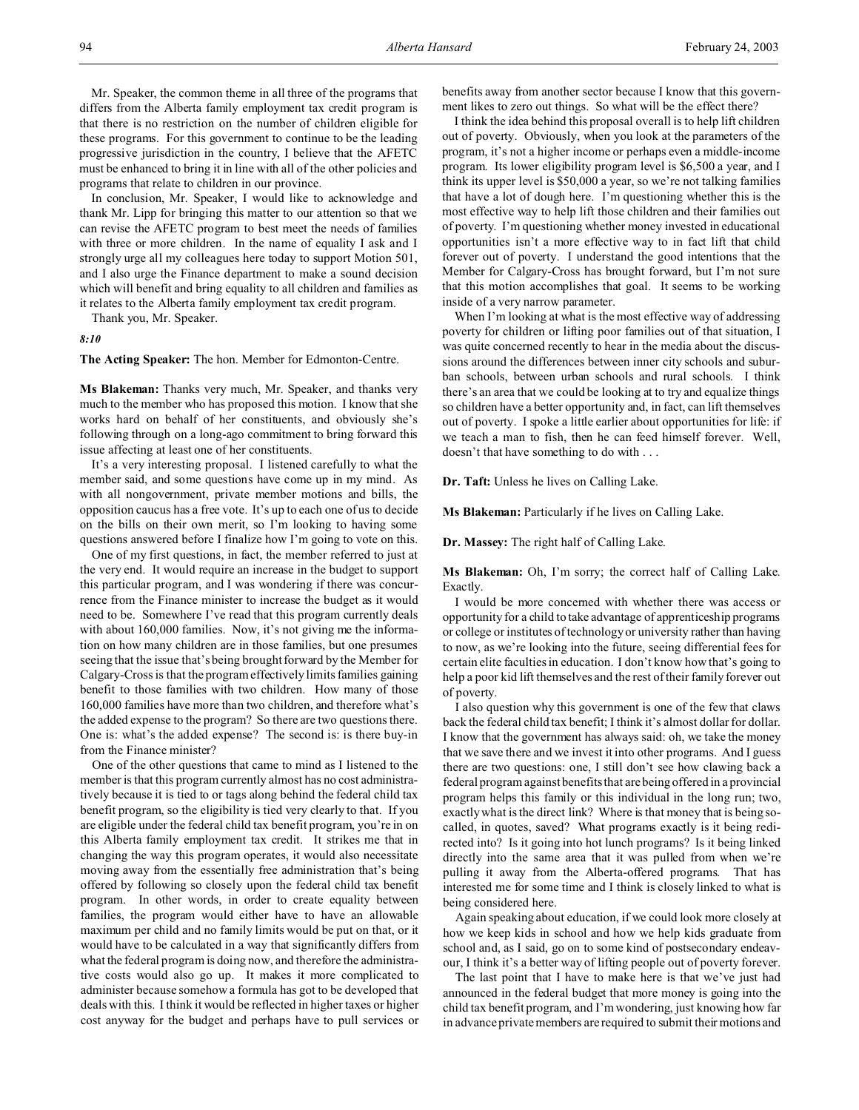Mr. Speaker, the common theme in all three of the programs that differs from the Alberta family employment tax credit program is that there is no restriction on the number of children eligible for these programs. For this government to continue to be the leading progressive jurisdiction in the country, I believe that the AFETC must be enhanced to bring it in line with all of the other policies and programs that relate to children in our province.

In conclusion, Mr. Speaker, I would like to acknowledge and thank Mr. Lipp for bringing this matter to our attention so that we can revise the AFETC program to best meet the needs of families with three or more children. In the name of equality I ask and I strongly urge all my colleagues here today to support Motion 501, and I also urge the Finance department to make a sound decision which will benefit and bring equality to all children and families as it relates to the Alberta family employment tax credit program.

Thank you, Mr. Speaker.

*8:10*

**The Acting Speaker:** The hon. Member for Edmonton-Centre.

**Ms Blakeman:** Thanks very much, Mr. Speaker, and thanks very much to the member who has proposed this motion. I know that she works hard on behalf of her constituents, and obviously she's following through on a long-ago commitment to bring forward this issue affecting at least one of her constituents.

It's a very interesting proposal. I listened carefully to what the member said, and some questions have come up in my mind. As with all nongovernment, private member motions and bills, the opposition caucus has a free vote. It's up to each one of us to decide on the bills on their own merit, so I'm looking to having some questions answered before I finalize how I'm going to vote on this.

One of my first questions, in fact, the member referred to just at the very end. It would require an increase in the budget to support this particular program, and I was wondering if there was concurrence from the Finance minister to increase the budget as it would need to be. Somewhere I've read that this program currently deals with about 160,000 families. Now, it's not giving me the information on how many children are in those families, but one presumes seeing that the issue that's being brought forward by the Member for Calgary-Cross is that the program effectively limits families gaining benefit to those families with two children. How many of those 160,000 families have more than two children, and therefore what's the added expense to the program? So there are two questions there. One is: what's the added expense? The second is: is there buy-in from the Finance minister?

One of the other questions that came to mind as I listened to the member is that this program currently almost has no cost administratively because it is tied to or tags along behind the federal child tax benefit program, so the eligibility is tied very clearly to that. If you are eligible under the federal child tax benefit program, you're in on this Alberta family employment tax credit. It strikes me that in changing the way this program operates, it would also necessitate moving away from the essentially free administration that's being offered by following so closely upon the federal child tax benefit program. In other words, in order to create equality between families, the program would either have to have an allowable maximum per child and no family limits would be put on that, or it would have to be calculated in a way that significantly differs from what the federal program is doing now, and therefore the administrative costs would also go up. It makes it more complicated to administer because somehow a formula has got to be developed that deals with this. I think it would be reflected in higher taxes or higher cost anyway for the budget and perhaps have to pull services or

benefits away from another sector because I know that this government likes to zero out things. So what will be the effect there?

I think the idea behind this proposal overall is to help lift children out of poverty. Obviously, when you look at the parameters of the program, it's not a higher income or perhaps even a middle-income program. Its lower eligibility program level is \$6,500 a year, and I think its upper level is \$50,000 a year, so we're not talking families that have a lot of dough here. I'm questioning whether this is the most effective way to help lift those children and their families out of poverty. I'm questioning whether money invested in educational opportunities isn't a more effective way to in fact lift that child forever out of poverty. I understand the good intentions that the Member for Calgary-Cross has brought forward, but I'm not sure that this motion accomplishes that goal. It seems to be working inside of a very narrow parameter.

When I'm looking at what is the most effective way of addressing poverty for children or lifting poor families out of that situation, I was quite concerned recently to hear in the media about the discussions around the differences between inner city schools and suburban schools, between urban schools and rural schools. I think there's an area that we could be looking at to try and equalize things so children have a better opportunity and, in fact, can lift themselves out of poverty. I spoke a little earlier about opportunities for life: if we teach a man to fish, then he can feed himself forever. Well, doesn't that have something to do with . . .

**Dr. Taft:** Unless he lives on Calling Lake.

**Ms Blakeman:** Particularly if he lives on Calling Lake.

**Dr. Massey:** The right half of Calling Lake.

**Ms Blakeman:** Oh, I'm sorry; the correct half of Calling Lake. Exactly.

I would be more concerned with whether there was access or opportunity for a child to take advantage of apprenticeship programs or college or institutes of technology or university rather than having to now, as we're looking into the future, seeing differential fees for certain elite faculties in education. I don't know how that's going to help a poor kid lift themselves and the rest of their family forever out of poverty.

I also question why this government is one of the few that claws back the federal child tax benefit; I think it's almost dollar for dollar. I know that the government has always said: oh, we take the money that we save there and we invest it into other programs. And I guess there are two questions: one, I still don't see how clawing back a federal program against benefits that are being offered in a provincial program helps this family or this individual in the long run; two, exactly what is the direct link? Where is that money that is being socalled, in quotes, saved? What programs exactly is it being redirected into? Is it going into hot lunch programs? Is it being linked directly into the same area that it was pulled from when we're pulling it away from the Alberta-offered programs. That has interested me for some time and I think is closely linked to what is being considered here.

Again speaking about education, if we could look more closely at how we keep kids in school and how we help kids graduate from school and, as I said, go on to some kind of postsecondary endeavour, I think it's a better way of lifting people out of poverty forever.

The last point that I have to make here is that we've just had announced in the federal budget that more money is going into the child tax benefit program, and I'm wondering, just knowing how far in advance private members are required to submit their motions and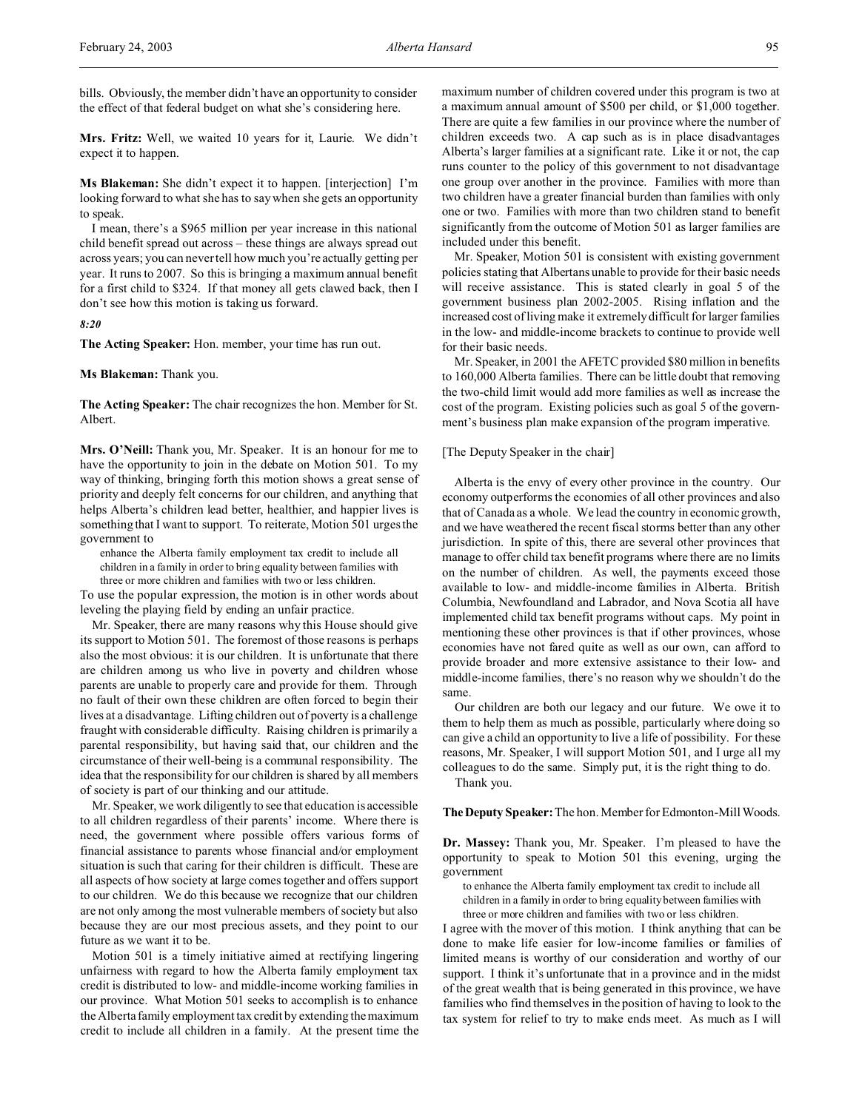bills. Obviously, the member didn't have an opportunity to consider the effect of that federal budget on what she's considering here.

**Mrs. Fritz:** Well, we waited 10 years for it, Laurie. We didn't expect it to happen.

**Ms Blakeman:** She didn't expect it to happen. [interjection] I'm looking forward to what she has to say when she gets an opportunity to speak.

I mean, there's a \$965 million per year increase in this national child benefit spread out across – these things are always spread out across years; you can never tell how much you're actually getting per year. It runs to 2007. So this is bringing a maximum annual benefit for a first child to \$324. If that money all gets clawed back, then I don't see how this motion is taking us forward.

# *8:20*

**The Acting Speaker:** Hon. member, your time has run out.

# **Ms Blakeman:** Thank you.

**The Acting Speaker:** The chair recognizes the hon. Member for St. Albert.

**Mrs. O'Neill:** Thank you, Mr. Speaker. It is an honour for me to have the opportunity to join in the debate on Motion 501. To my way of thinking, bringing forth this motion shows a great sense of priority and deeply felt concerns for our children, and anything that helps Alberta's children lead better, healthier, and happier lives is something that I want to support. To reiterate, Motion 501 urges the government to

enhance the Alberta family employment tax credit to include all children in a family in order to bring equality between families with three or more children and families with two or less children.

To use the popular expression, the motion is in other words about leveling the playing field by ending an unfair practice.

Mr. Speaker, there are many reasons why this House should give its support to Motion 501. The foremost of those reasons is perhaps also the most obvious: it is our children. It is unfortunate that there are children among us who live in poverty and children whose parents are unable to properly care and provide for them. Through no fault of their own these children are often forced to begin their lives at a disadvantage. Lifting children out of poverty is a challenge fraught with considerable difficulty. Raising children is primarily a parental responsibility, but having said that, our children and the circumstance of their well-being is a communal responsibility. The idea that the responsibility for our children is shared by all members of society is part of our thinking and our attitude.

Mr. Speaker, we work diligently to see that education is accessible to all children regardless of their parents' income. Where there is need, the government where possible offers various forms of financial assistance to parents whose financial and/or employment situation is such that caring for their children is difficult. These are all aspects of how society at large comes together and offers support to our children. We do this because we recognize that our children are not only among the most vulnerable members of society but also because they are our most precious assets, and they point to our future as we want it to be.

Motion 501 is a timely initiative aimed at rectifying lingering unfairness with regard to how the Alberta family employment tax credit is distributed to low- and middle-income working families in our province. What Motion 501 seeks to accomplish is to enhance the Alberta family employment tax credit by extending the maximum credit to include all children in a family. At the present time the maximum number of children covered under this program is two at a maximum annual amount of \$500 per child, or \$1,000 together. There are quite a few families in our province where the number of children exceeds two. A cap such as is in place disadvantages Alberta's larger families at a significant rate. Like it or not, the cap runs counter to the policy of this government to not disadvantage one group over another in the province. Families with more than two children have a greater financial burden than families with only one or two. Families with more than two children stand to benefit significantly from the outcome of Motion 501 as larger families are included under this benefit.

Mr. Speaker, Motion 501 is consistent with existing government policies stating that Albertans unable to provide for their basic needs will receive assistance. This is stated clearly in goal 5 of the government business plan 2002-2005. Rising inflation and the increased cost of living make it extremely difficult for larger families in the low- and middle-income brackets to continue to provide well for their basic needs.

Mr. Speaker, in 2001 the AFETC provided \$80 million in benefits to 160,000 Alberta families. There can be little doubt that removing the two-child limit would add more families as well as increase the cost of the program. Existing policies such as goal 5 of the government's business plan make expansion of the program imperative.

# [The Deputy Speaker in the chair]

Alberta is the envy of every other province in the country. Our economy outperforms the economies of all other provinces and also that of Canada as a whole. We lead the country in economic growth, and we have weathered the recent fiscal storms better than any other jurisdiction. In spite of this, there are several other provinces that manage to offer child tax benefit programs where there are no limits on the number of children. As well, the payments exceed those available to low- and middle-income families in Alberta. British Columbia, Newfoundland and Labrador, and Nova Scotia all have implemented child tax benefit programs without caps. My point in mentioning these other provinces is that if other provinces, whose economies have not fared quite as well as our own, can afford to provide broader and more extensive assistance to their low- and middle-income families, there's no reason why we shouldn't do the same.

Our children are both our legacy and our future. We owe it to them to help them as much as possible, particularly where doing so can give a child an opportunity to live a life of possibility. For these reasons, Mr. Speaker, I will support Motion 501, and I urge all my colleagues to do the same. Simply put, it is the right thing to do.

Thank you.

**TheDeputy Speaker:** The hon. Member for Edmonton-Mill Woods.

**Dr. Massey:** Thank you, Mr. Speaker. I'm pleased to have the opportunity to speak to Motion 501 this evening, urging the government

to enhance the Alberta family employment tax credit to include all children in a family in order to bring equality between families with three or more children and families with two or less children.

I agree with the mover of this motion. I think anything that can be done to make life easier for low-income families or families of limited means is worthy of our consideration and worthy of our support. I think it's unfortunate that in a province and in the midst of the great wealth that is being generated in this province, we have families who find themselves in the position of having to look to the tax system for relief to try to make ends meet. As much as I will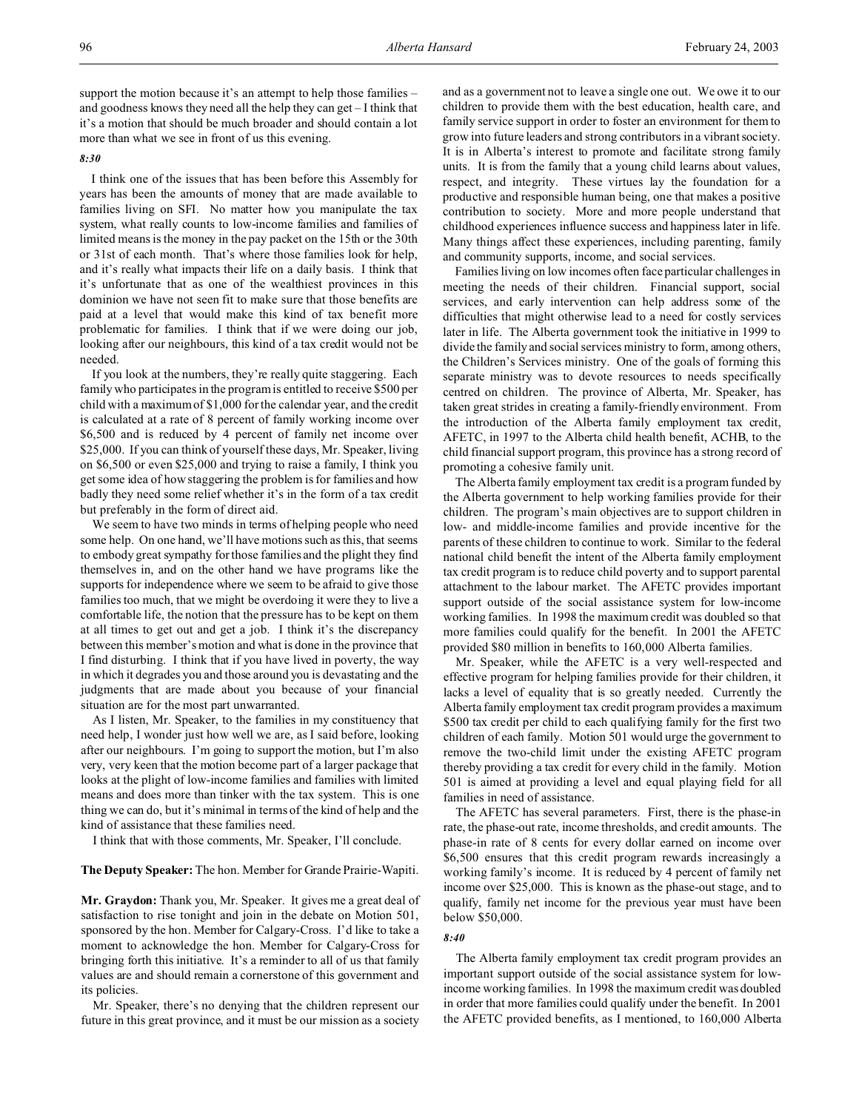support the motion because it's an attempt to help those families – and goodness knows they need all the help they can get – I think that it's a motion that should be much broader and should contain a lot more than what we see in front of us this evening.

# *8:30*

I think one of the issues that has been before this Assembly for years has been the amounts of money that are made available to families living on SFI. No matter how you manipulate the tax system, what really counts to low-income families and families of limited means is the money in the pay packet on the 15th or the 30th or 31st of each month. That's where those families look for help, and it's really what impacts their life on a daily basis. I think that it's unfortunate that as one of the wealthiest provinces in this dominion we have not seen fit to make sure that those benefits are paid at a level that would make this kind of tax benefit more problematic for families. I think that if we were doing our job, looking after our neighbours, this kind of a tax credit would not be needed.

If you look at the numbers, they're really quite staggering. Each family who participates in the program is entitled to receive \$500 per child with a maximum of \$1,000 for the calendar year, and the credit is calculated at a rate of 8 percent of family working income over \$6,500 and is reduced by 4 percent of family net income over \$25,000. If you can think of yourself these days, Mr. Speaker, living on \$6,500 or even \$25,000 and trying to raise a family, I think you get some idea of how staggering the problem is for families and how badly they need some relief whether it's in the form of a tax credit but preferably in the form of direct aid.

We seem to have two minds in terms of helping people who need some help. On one hand, we'll have motions such as this, that seems to embody great sympathy for those families and the plight they find themselves in, and on the other hand we have programs like the supports for independence where we seem to be afraid to give those families too much, that we might be overdoing it were they to live a comfortable life, the notion that the pressure has to be kept on them at all times to get out and get a job. I think it's the discrepancy between this member's motion and what is done in the province that I find disturbing. I think that if you have lived in poverty, the way in which it degrades you and those around you is devastating and the judgments that are made about you because of your financial situation are for the most part unwarranted.

As I listen, Mr. Speaker, to the families in my constituency that need help, I wonder just how well we are, as I said before, looking after our neighbours. I'm going to support the motion, but I'm also very, very keen that the motion become part of a larger package that looks at the plight of low-income families and families with limited means and does more than tinker with the tax system. This is one thing we can do, but it's minimal in terms of the kind of help and the kind of assistance that these families need.

I think that with those comments, Mr. Speaker, I'll conclude.

# **The Deputy Speaker:** The hon. Member for Grande Prairie-Wapiti.

**Mr. Graydon:** Thank you, Mr. Speaker. It gives me a great deal of satisfaction to rise tonight and join in the debate on Motion 501, sponsored by the hon. Member for Calgary-Cross. I'd like to take a moment to acknowledge the hon. Member for Calgary-Cross for bringing forth this initiative. It's a reminder to all of us that family values are and should remain a cornerstone of this government and its policies.

Mr. Speaker, there's no denying that the children represent our future in this great province, and it must be our mission as a society

and as a government not to leave a single one out. We owe it to our children to provide them with the best education, health care, and family service support in order to foster an environment for them to grow into future leaders and strong contributors in a vibrant society. It is in Alberta's interest to promote and facilitate strong family units. It is from the family that a young child learns about values, respect, and integrity. These virtues lay the foundation for a productive and responsible human being, one that makes a positive contribution to society. More and more people understand that childhood experiences influence success and happiness later in life. Many things affect these experiences, including parenting, family and community supports, income, and social services.

Families living on low incomes often face particular challenges in meeting the needs of their children. Financial support, social services, and early intervention can help address some of the difficulties that might otherwise lead to a need for costly services later in life. The Alberta government took the initiative in 1999 to divide the family and social services ministry to form, among others, the Children's Services ministry. One of the goals of forming this separate ministry was to devote resources to needs specifically centred on children. The province of Alberta, Mr. Speaker, has taken great strides in creating a family-friendly environment. From the introduction of the Alberta family employment tax credit, AFETC, in 1997 to the Alberta child health benefit, ACHB, to the child financial support program, this province has a strong record of promoting a cohesive family unit.

The Alberta family employment tax credit is a program funded by the Alberta government to help working families provide for their children. The program's main objectives are to support children in low- and middle-income families and provide incentive for the parents of these children to continue to work. Similar to the federal national child benefit the intent of the Alberta family employment tax credit program is to reduce child poverty and to support parental attachment to the labour market. The AFETC provides important support outside of the social assistance system for low-income working families. In 1998 the maximum credit was doubled so that more families could qualify for the benefit. In 2001 the AFETC provided \$80 million in benefits to 160,000 Alberta families.

Mr. Speaker, while the AFETC is a very well-respected and effective program for helping families provide for their children, it lacks a level of equality that is so greatly needed. Currently the Alberta family employment tax credit program provides a maximum \$500 tax credit per child to each qualifying family for the first two children of each family. Motion 501 would urge the government to remove the two-child limit under the existing AFETC program thereby providing a tax credit for every child in the family. Motion 501 is aimed at providing a level and equal playing field for all families in need of assistance.

The AFETC has several parameters. First, there is the phase-in rate, the phase-out rate, income thresholds, and credit amounts. The phase-in rate of 8 cents for every dollar earned on income over \$6,500 ensures that this credit program rewards increasingly a working family's income. It is reduced by 4 percent of family net income over \$25,000. This is known as the phase-out stage, and to qualify, family net income for the previous year must have been below \$50,000.

### *8:40*

The Alberta family employment tax credit program provides an important support outside of the social assistance system for lowincome working families. In 1998 the maximum credit was doubled in order that more families could qualify under the benefit. In 2001 the AFETC provided benefits, as I mentioned, to 160,000 Alberta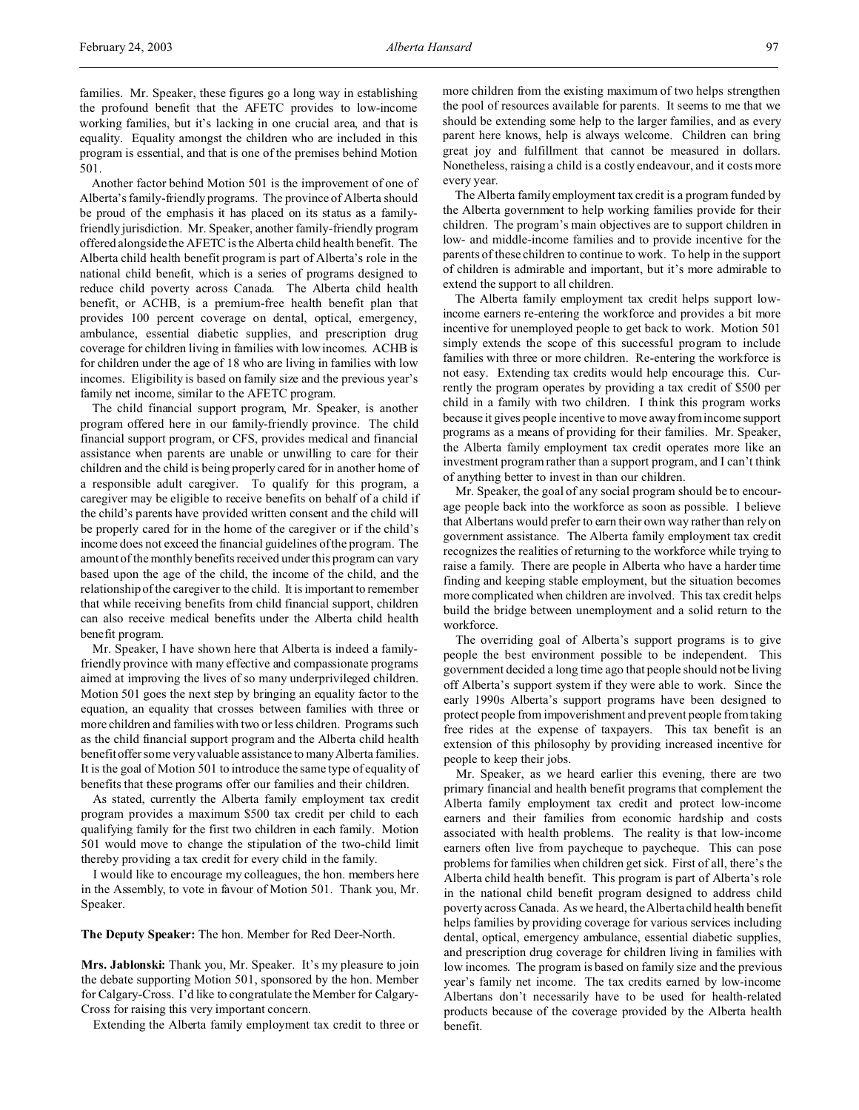families. Mr. Speaker, these figures go a long way in establishing the profound benefit that the AFETC provides to low-income working families, but it's lacking in one crucial area, and that is equality. Equality amongst the children who are included in this program is essential, and that is one of the premises behind Motion 501.

Another factor behind Motion 501 is the improvement of one of Alberta's family-friendly programs. The province of Alberta should be proud of the emphasis it has placed on its status as a familyfriendly jurisdiction. Mr. Speaker, another family-friendly program offered alongside the AFETC is the Alberta child health benefit. The Alberta child health benefit program is part of Alberta's role in the national child benefit, which is a series of programs designed to reduce child poverty across Canada. The Alberta child health benefit, or ACHB, is a premium-free health benefit plan that provides 100 percent coverage on dental, optical, emergency, ambulance, essential diabetic supplies, and prescription drug coverage for children living in families with low incomes. ACHB is for children under the age of 18 who are living in families with low incomes. Eligibility is based on family size and the previous year's family net income, similar to the AFETC program.

The child financial support program, Mr. Speaker, is another program offered here in our family-friendly province. The child financial support program, or CFS, provides medical and financial assistance when parents are unable or unwilling to care for their children and the child is being properly cared for in another home of a responsible adult caregiver. To qualify for this program, a caregiver may be eligible to receive benefits on behalf of a child if the child's parents have provided written consent and the child will be properly cared for in the home of the caregiver or if the child's income does not exceed the financial guidelines of the program. The amount of the monthly benefits received under this program can vary based upon the age of the child, the income of the child, and the relationship of the caregiver to the child. It is important to remember that while receiving benefits from child financial support, children can also receive medical benefits under the Alberta child health benefit program.

Mr. Speaker, I have shown here that Alberta is indeed a familyfriendly province with many effective and compassionate programs aimed at improving the lives of so many underprivileged children. Motion 501 goes the next step by bringing an equality factor to the equation, an equality that crosses between families with three or more children and families with two or less children. Programs such as the child financial support program and the Alberta child health benefit offer some very valuable assistance to many Alberta families. It is the goal of Motion 501 to introduce the same type of equality of benefits that these programs offer our families and their children.

As stated, currently the Alberta family employment tax credit program provides a maximum \$500 tax credit per child to each qualifying family for the first two children in each family. Motion 501 would move to change the stipulation of the two-child limit thereby providing a tax credit for every child in the family.

I would like to encourage my colleagues, the hon. members here in the Assembly, to vote in favour of Motion 501. Thank you, Mr. Speaker.

**The Deputy Speaker:** The hon. Member for Red Deer-North.

**Mrs. Jablonski:** Thank you, Mr. Speaker. It's my pleasure to join the debate supporting Motion 501, sponsored by the hon. Member for Calgary-Cross. I'd like to congratulate the Member for Calgary-Cross for raising this very important concern.

Extending the Alberta family employment tax credit to three or

more children from the existing maximum of two helps strengthen the pool of resources available for parents. It seems to me that we should be extending some help to the larger families, and as every parent here knows, help is always welcome. Children can bring great joy and fulfillment that cannot be measured in dollars. Nonetheless, raising a child is a costly endeavour, and it costs more every year.

The Alberta family employment tax credit is a program funded by the Alberta government to help working families provide for their children. The program's main objectives are to support children in low- and middle-income families and to provide incentive for the parents of these children to continue to work. To help in the support of children is admirable and important, but it's more admirable to extend the support to all children.

The Alberta family employment tax credit helps support lowincome earners re-entering the workforce and provides a bit more incentive for unemployed people to get back to work. Motion 501 simply extends the scope of this successful program to include families with three or more children. Re-entering the workforce is not easy. Extending tax credits would help encourage this. Currently the program operates by providing a tax credit of \$500 per child in a family with two children. I think this program works because it gives people incentive to move away from income support programs as a means of providing for their families. Mr. Speaker, the Alberta family employment tax credit operates more like an investment program rather than a support program, and I can't think of anything better to invest in than our children.

Mr. Speaker, the goal of any social program should be to encourage people back into the workforce as soon as possible. I believe that Albertans would prefer to earn their own way rather than rely on government assistance. The Alberta family employment tax credit recognizes the realities of returning to the workforce while trying to raise a family. There are people in Alberta who have a harder time finding and keeping stable employment, but the situation becomes more complicated when children are involved. This tax credit helps build the bridge between unemployment and a solid return to the workforce.

The overriding goal of Alberta's support programs is to give people the best environment possible to be independent. This government decided a long time ago that people should not be living off Alberta's support system if they were able to work. Since the early 1990s Alberta's support programs have been designed to protect people from impoverishment and prevent people from taking free rides at the expense of taxpayers. This tax benefit is an extension of this philosophy by providing increased incentive for people to keep their jobs.

Mr. Speaker, as we heard earlier this evening, there are two primary financial and health benefit programs that complement the Alberta family employment tax credit and protect low-income earners and their families from economic hardship and costs associated with health problems. The reality is that low-income earners often live from paycheque to paycheque. This can pose problems for families when children get sick. First of all, there's the Alberta child health benefit. This program is part of Alberta's role in the national child benefit program designed to address child poverty across Canada. As we heard, the Alberta child health benefit helps families by providing coverage for various services including dental, optical, emergency ambulance, essential diabetic supplies, and prescription drug coverage for children living in families with low incomes. The program is based on family size and the previous year's family net income. The tax credits earned by low-income Albertans don't necessarily have to be used for health-related products because of the coverage provided by the Alberta health benefit.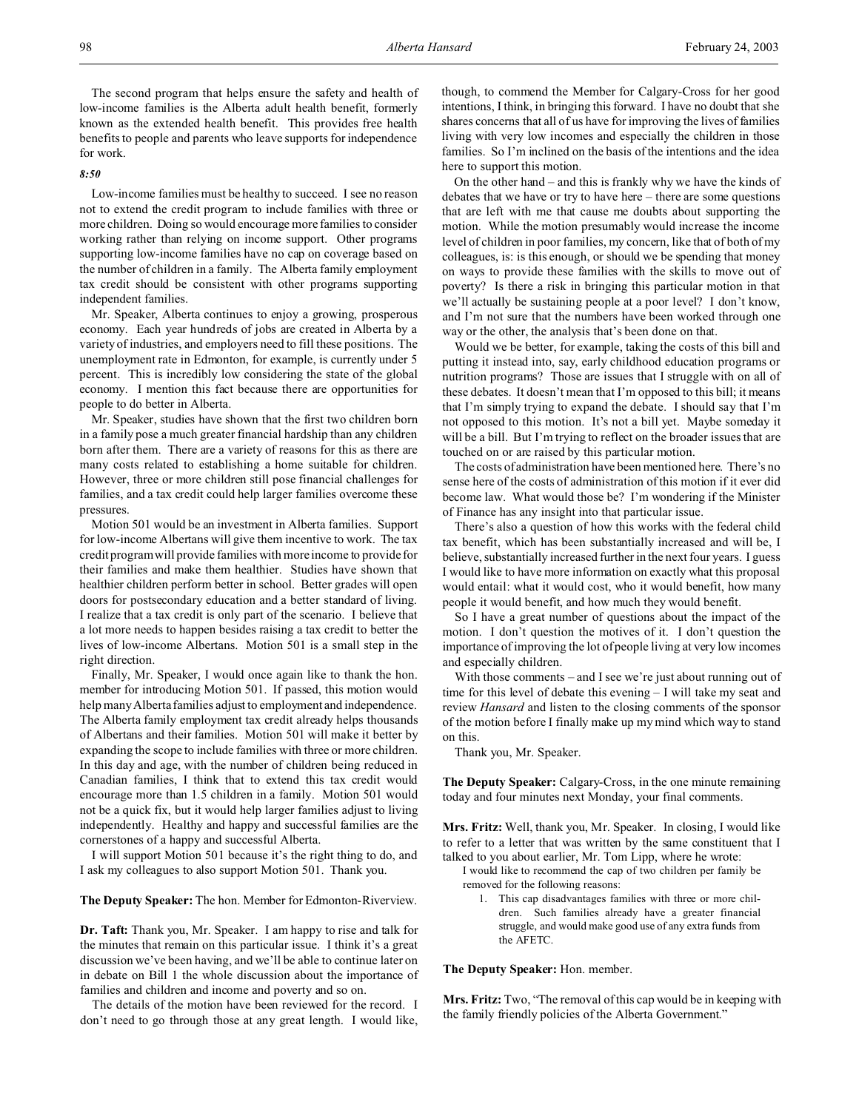The second program that helps ensure the safety and health of low-income families is the Alberta adult health benefit, formerly known as the extended health benefit. This provides free health benefits to people and parents who leave supports for independence for work.

#### *8:50*

Low-income families must be healthy to succeed. I see no reason not to extend the credit program to include families with three or more children. Doing so would encourage more families to consider working rather than relying on income support. Other programs supporting low-income families have no cap on coverage based on the number of children in a family. The Alberta family employment tax credit should be consistent with other programs supporting independent families.

Mr. Speaker, Alberta continues to enjoy a growing, prosperous economy. Each year hundreds of jobs are created in Alberta by a variety of industries, and employers need to fill these positions. The unemployment rate in Edmonton, for example, is currently under 5 percent. This is incredibly low considering the state of the global economy. I mention this fact because there are opportunities for people to do better in Alberta.

Mr. Speaker, studies have shown that the first two children born in a family pose a much greater financial hardship than any children born after them. There are a variety of reasons for this as there are many costs related to establishing a home suitable for children. However, three or more children still pose financial challenges for families, and a tax credit could help larger families overcome these pressures.

Motion 501 would be an investment in Alberta families. Support for low-income Albertans will give them incentive to work. The tax credit program will provide families with more income to provide for their families and make them healthier. Studies have shown that healthier children perform better in school. Better grades will open doors for postsecondary education and a better standard of living. I realize that a tax credit is only part of the scenario. I believe that a lot more needs to happen besides raising a tax credit to better the lives of low-income Albertans. Motion 501 is a small step in the right direction.

Finally, Mr. Speaker, I would once again like to thank the hon. member for introducing Motion 501. If passed, this motion would help many Alberta families adjust to employment and independence. The Alberta family employment tax credit already helps thousands of Albertans and their families. Motion 501 will make it better by expanding the scope to include families with three or more children. In this day and age, with the number of children being reduced in Canadian families, I think that to extend this tax credit would encourage more than 1.5 children in a family. Motion 501 would not be a quick fix, but it would help larger families adjust to living independently. Healthy and happy and successful families are the cornerstones of a happy and successful Alberta.

I will support Motion 501 because it's the right thing to do, and I ask my colleagues to also support Motion 501. Thank you.

**The Deputy Speaker:** The hon. Member for Edmonton-Riverview.

**Dr. Taft:** Thank you, Mr. Speaker. I am happy to rise and talk for the minutes that remain on this particular issue. I think it's a great discussion we've been having, and we'll be able to continue later on in debate on Bill 1 the whole discussion about the importance of families and children and income and poverty and so on.

The details of the motion have been reviewed for the record. I don't need to go through those at any great length. I would like, though, to commend the Member for Calgary-Cross for her good intentions, I think, in bringing this forward. I have no doubt that she shares concerns that all of us have for improving the lives of families living with very low incomes and especially the children in those families. So I'm inclined on the basis of the intentions and the idea here to support this motion.

On the other hand – and this is frankly why we have the kinds of debates that we have or try to have here – there are some questions that are left with me that cause me doubts about supporting the motion. While the motion presumably would increase the income level of children in poor families, my concern, like that of both of my colleagues, is: is this enough, or should we be spending that money on ways to provide these families with the skills to move out of poverty? Is there a risk in bringing this particular motion in that we'll actually be sustaining people at a poor level? I don't know, and I'm not sure that the numbers have been worked through one way or the other, the analysis that's been done on that.

Would we be better, for example, taking the costs of this bill and putting it instead into, say, early childhood education programs or nutrition programs? Those are issues that I struggle with on all of these debates. It doesn't mean that I'm opposed to this bill; it means that I'm simply trying to expand the debate. I should say that I'm not opposed to this motion. It's not a bill yet. Maybe someday it will be a bill. But I'm trying to reflect on the broader issues that are touched on or are raised by this particular motion.

The costs of administration have been mentioned here. There's no sense here of the costs of administration of this motion if it ever did become law. What would those be? I'm wondering if the Minister of Finance has any insight into that particular issue.

There's also a question of how this works with the federal child tax benefit, which has been substantially increased and will be, I believe, substantially increased further in the next four years. I guess I would like to have more information on exactly what this proposal would entail: what it would cost, who it would benefit, how many people it would benefit, and how much they would benefit.

So I have a great number of questions about the impact of the motion. I don't question the motives of it. I don't question the importance of improving the lot of people living at very low incomes and especially children.

With those comments – and I see we're just about running out of time for this level of debate this evening – I will take my seat and review *Hansard* and listen to the closing comments of the sponsor of the motion before I finally make up my mind which way to stand on this.

Thank you, Mr. Speaker.

**The Deputy Speaker:** Calgary-Cross, in the one minute remaining today and four minutes next Monday, your final comments.

**Mrs. Fritz:** Well, thank you, Mr. Speaker. In closing, I would like to refer to a letter that was written by the same constituent that I talked to you about earlier, Mr. Tom Lipp, where he wrote:

I would like to recommend the cap of two children per family be removed for the following reasons:

1. This cap disadvantages families with three or more children. Such families already have a greater financial struggle, and would make good use of any extra funds from the AFETC.

**The Deputy Speaker:** Hon. member.

**Mrs. Fritz:** Two, "The removal of this cap would be in keeping with the family friendly policies of the Alberta Government."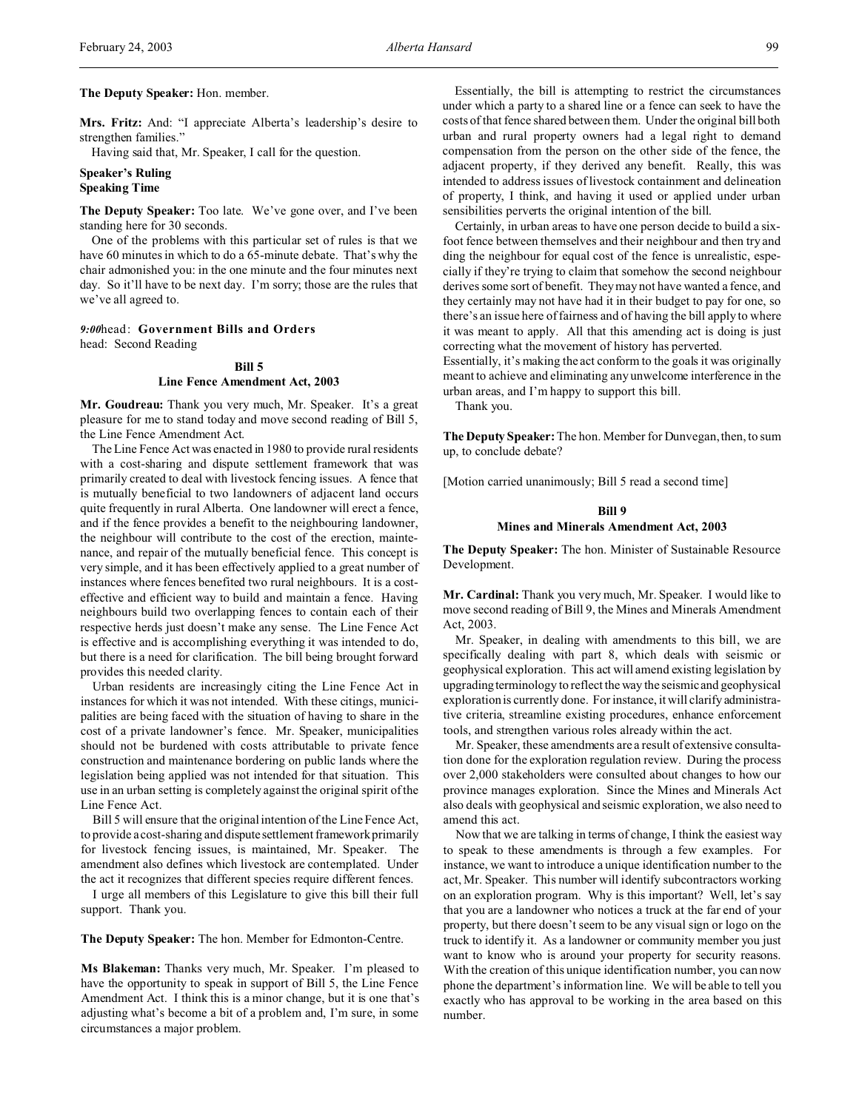# **The Deputy Speaker:** Hon. member.

**Mrs. Fritz:** And: "I appreciate Alberta's leadership's desire to strengthen families."

Having said that, Mr. Speaker, I call for the question.

# **Speaker's Ruling Speaking Time**

**The Deputy Speaker:** Too late. We've gone over, and I've been standing here for 30 seconds.

One of the problems with this particular set of rules is that we have 60 minutes in which to do a 65-minute debate. That's why the chair admonished you: in the one minute and the four minutes next day. So it'll have to be next day. I'm sorry; those are the rules that we've all agreed to.

# *9:00*head: **Government Bills and Orders** head: Second Reading

# **Bill 5 Line Fence Amendment Act, 2003**

**Mr. Goudreau:** Thank you very much, Mr. Speaker. It's a great pleasure for me to stand today and move second reading of Bill 5, the Line Fence Amendment Act.

The Line Fence Act was enacted in 1980 to provide rural residents with a cost-sharing and dispute settlement framework that was primarily created to deal with livestock fencing issues. A fence that is mutually beneficial to two landowners of adjacent land occurs quite frequently in rural Alberta. One landowner will erect a fence, and if the fence provides a benefit to the neighbouring landowner, the neighbour will contribute to the cost of the erection, maintenance, and repair of the mutually beneficial fence. This concept is very simple, and it has been effectively applied to a great number of instances where fences benefited two rural neighbours. It is a costeffective and efficient way to build and maintain a fence. Having neighbours build two overlapping fences to contain each of their respective herds just doesn't make any sense. The Line Fence Act is effective and is accomplishing everything it was intended to do, but there is a need for clarification. The bill being brought forward provides this needed clarity.

Urban residents are increasingly citing the Line Fence Act in instances for which it was not intended. With these citings, municipalities are being faced with the situation of having to share in the cost of a private landowner's fence. Mr. Speaker, municipalities should not be burdened with costs attributable to private fence construction and maintenance bordering on public lands where the legislation being applied was not intended for that situation. This use in an urban setting is completely against the original spirit of the Line Fence Act.

Bill 5 will ensure that the original intention of the Line Fence Act, to provide a cost-sharing and dispute settlement framework primarily for livestock fencing issues, is maintained, Mr. Speaker. The amendment also defines which livestock are contemplated. Under the act it recognizes that different species require different fences.

I urge all members of this Legislature to give this bill their full support. Thank you.

**The Deputy Speaker:** The hon. Member for Edmonton-Centre.

**Ms Blakeman:** Thanks very much, Mr. Speaker. I'm pleased to have the opportunity to speak in support of Bill 5, the Line Fence Amendment Act. I think this is a minor change, but it is one that's adjusting what's become a bit of a problem and, I'm sure, in some circumstances a major problem.

Essentially, the bill is attempting to restrict the circumstances under which a party to a shared line or a fence can seek to have the costs of that fence shared between them. Under the original bill both urban and rural property owners had a legal right to demand compensation from the person on the other side of the fence, the adjacent property, if they derived any benefit. Really, this was intended to address issues of livestock containment and delineation of property, I think, and having it used or applied under urban sensibilities perverts the original intention of the bill.

Certainly, in urban areas to have one person decide to build a sixfoot fence between themselves and their neighbour and then try and ding the neighbour for equal cost of the fence is unrealistic, especially if they're trying to claim that somehow the second neighbour derives some sort of benefit. They may not have wanted a fence, and they certainly may not have had it in their budget to pay for one, so there's an issue here of fairness and of having the bill apply to where it was meant to apply. All that this amending act is doing is just correcting what the movement of history has perverted.

Essentially, it's making the act conform to the goals it was originally meant to achieve and eliminating any unwelcome interference in the urban areas, and I'm happy to support this bill.

Thank you.

**The Deputy Speaker:** The hon. Member for Dunvegan, then, to sum up, to conclude debate?

[Motion carried unanimously; Bill 5 read a second time]

# **Bill 9 Mines and Minerals Amendment Act, 2003**

**The Deputy Speaker:** The hon. Minister of Sustainable Resource Development.

**Mr. Cardinal:** Thank you very much, Mr. Speaker. I would like to move second reading of Bill 9, the Mines and Minerals Amendment Act, 2003.

Mr. Speaker, in dealing with amendments to this bill, we are specifically dealing with part 8, which deals with seismic or geophysical exploration. This act will amend existing legislation by upgrading terminology to reflect the way the seismic and geophysical exploration is currently done. For instance, it will clarify administrative criteria, streamline existing procedures, enhance enforcement tools, and strengthen various roles already within the act.

Mr. Speaker, these amendments are a result of extensive consultation done for the exploration regulation review. During the process over 2,000 stakeholders were consulted about changes to how our province manages exploration. Since the Mines and Minerals Act also deals with geophysical and seismic exploration, we also need to amend this act.

Now that we are talking in terms of change, I think the easiest way to speak to these amendments is through a few examples. For instance, we want to introduce a unique identification number to the act, Mr. Speaker. This number will identify subcontractors working on an exploration program. Why is this important? Well, let's say that you are a landowner who notices a truck at the far end of your property, but there doesn't seem to be any visual sign or logo on the truck to identify it. As a landowner or community member you just want to know who is around your property for security reasons. With the creation of this unique identification number, you can now phone the department's information line. We will be able to tell you exactly who has approval to be working in the area based on this number.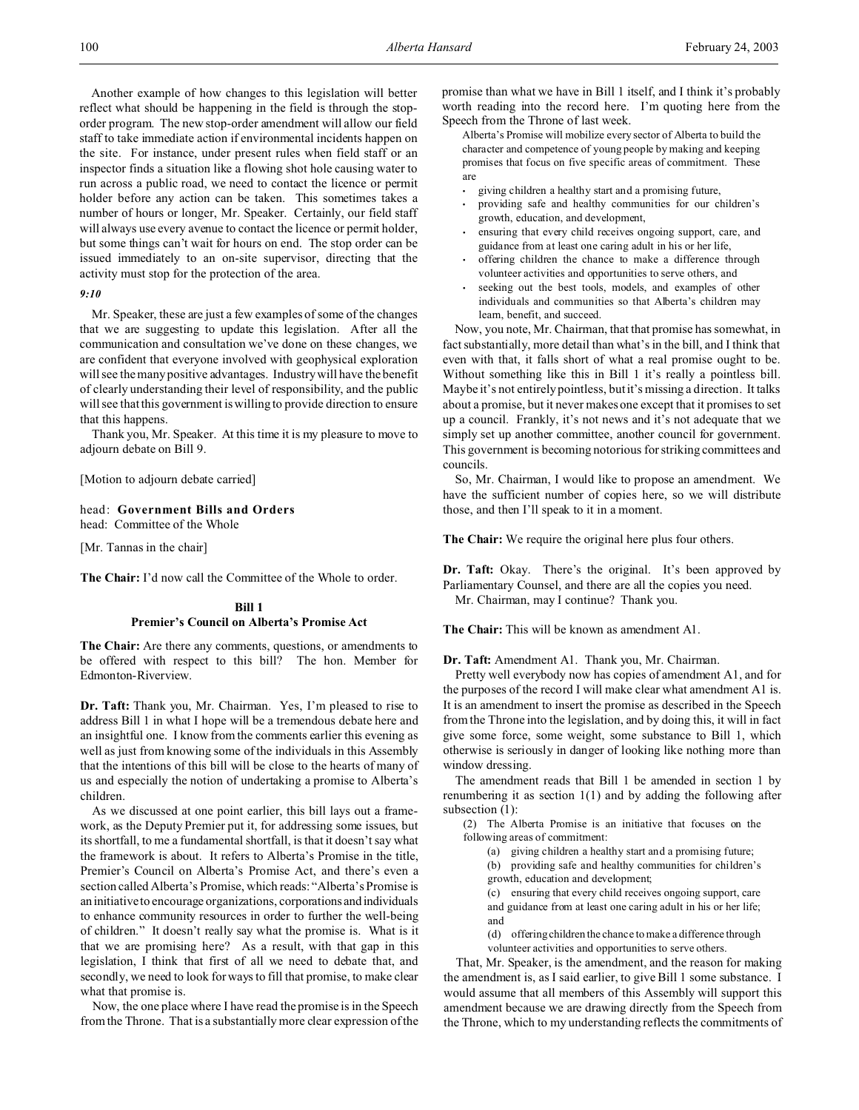Another example of how changes to this legislation will better reflect what should be happening in the field is through the stoporder program. The new stop-order amendment will allow our field staff to take immediate action if environmental incidents happen on the site. For instance, under present rules when field staff or an inspector finds a situation like a flowing shot hole causing water to run across a public road, we need to contact the licence or permit holder before any action can be taken. This sometimes takes a number of hours or longer, Mr. Speaker. Certainly, our field staff will always use every avenue to contact the licence or permit holder, but some things can't wait for hours on end. The stop order can be issued immediately to an on-site supervisor, directing that the activity must stop for the protection of the area.

# *9:10*

Mr. Speaker, these are just a few examples of some of the changes that we are suggesting to update this legislation. After all the communication and consultation we've done on these changes, we are confident that everyone involved with geophysical exploration will see the many positive advantages. Industry will have the benefit of clearly understanding their level of responsibility, and the public will see that this government is willing to provide direction to ensure that this happens.

Thank you, Mr. Speaker. At this time it is my pleasure to move to adjourn debate on Bill 9.

[Motion to adjourn debate carried]

# head: **Government Bills and Orders** head: Committee of the Whole

[Mr. Tannas in the chair]

**The Chair:** I'd now call the Committee of the Whole to order.

# **Bill 1 Premier's Council on Alberta's Promise Act**

**The Chair:** Are there any comments, questions, or amendments to be offered with respect to this bill? The hon. Member for Edmonton-Riverview.

**Dr. Taft:** Thank you, Mr. Chairman. Yes, I'm pleased to rise to address Bill 1 in what I hope will be a tremendous debate here and an insightful one. I know from the comments earlier this evening as well as just from knowing some of the individuals in this Assembly that the intentions of this bill will be close to the hearts of many of us and especially the notion of undertaking a promise to Alberta's children.

As we discussed at one point earlier, this bill lays out a framework, as the Deputy Premier put it, for addressing some issues, but its shortfall, to me a fundamental shortfall, is that it doesn't say what the framework is about. It refers to Alberta's Promise in the title, Premier's Council on Alberta's Promise Act, and there's even a section called Alberta's Promise, which reads: "Alberta's Promise is an initiative to encourage organizations, corporations and individuals to enhance community resources in order to further the well-being of children." It doesn't really say what the promise is. What is it that we are promising here? As a result, with that gap in this legislation, I think that first of all we need to debate that, and secondly, we need to look for ways to fill that promise, to make clear what that promise is.

Now, the one place where I have read the promise is in the Speech from the Throne. That is a substantially more clear expression of the promise than what we have in Bill 1 itself, and I think it's probably worth reading into the record here. I'm quoting here from the Speech from the Throne of last week.

Alberta's Promise will mobilize every sector of Alberta to build the character and competence of young people by making and keeping promises that focus on five specific areas of commitment. These are

- giving children a healthy start and a promising future,
- providing safe and healthy communities for our children's growth, education, and development,
- ensuring that every child receives ongoing support, care, and guidance from at least one caring adult in his or her life,
- offering children the chance to make a difference through volunteer activities and opportunities to serve others, and
- seeking out the best tools, models, and examples of other individuals and communities so that Alberta's children may learn, benefit, and succeed.

Now, you note, Mr. Chairman, that that promise has somewhat, in fact substantially, more detail than what's in the bill, and I think that even with that, it falls short of what a real promise ought to be. Without something like this in Bill 1 it's really a pointless bill. Maybe it's not entirely pointless, but it's missing a direction. It talks about a promise, but it never makes one except that it promises to set up a council. Frankly, it's not news and it's not adequate that we simply set up another committee, another council for government. This government is becoming notorious for striking committees and councils.

So, Mr. Chairman, I would like to propose an amendment. We have the sufficient number of copies here, so we will distribute those, and then I'll speak to it in a moment.

**The Chair:** We require the original here plus four others.

Dr. Taft: Okay. There's the original. It's been approved by Parliamentary Counsel, and there are all the copies you need. Mr. Chairman, may I continue? Thank you.

**The Chair:** This will be known as amendment A1.

**Dr. Taft:** Amendment A1. Thank you, Mr. Chairman.

Pretty well everybody now has copies of amendment A1, and for the purposes of the record I will make clear what amendment A1 is. It is an amendment to insert the promise as described in the Speech from the Throne into the legislation, and by doing this, it will in fact give some force, some weight, some substance to Bill 1, which otherwise is seriously in danger of looking like nothing more than window dressing.

The amendment reads that Bill 1 be amended in section 1 by renumbering it as section 1(1) and by adding the following after subsection (1):

(2) The Alberta Promise is an initiative that focuses on the following areas of commitment:

(a) giving children a healthy start and a promising future;

(b) providing safe and healthy communities for children's growth, education and development;

(c) ensuring that every child receives ongoing support, care and guidance from at least one caring adult in his or her life; and

(d) offeringchildren the chance to make a difference through volunteer activities and opportunities to serve others.

That, Mr. Speaker, is the amendment, and the reason for making the amendment is, as I said earlier, to give Bill 1 some substance. I would assume that all members of this Assembly will support this amendment because we are drawing directly from the Speech from the Throne, which to my understanding reflects the commitments of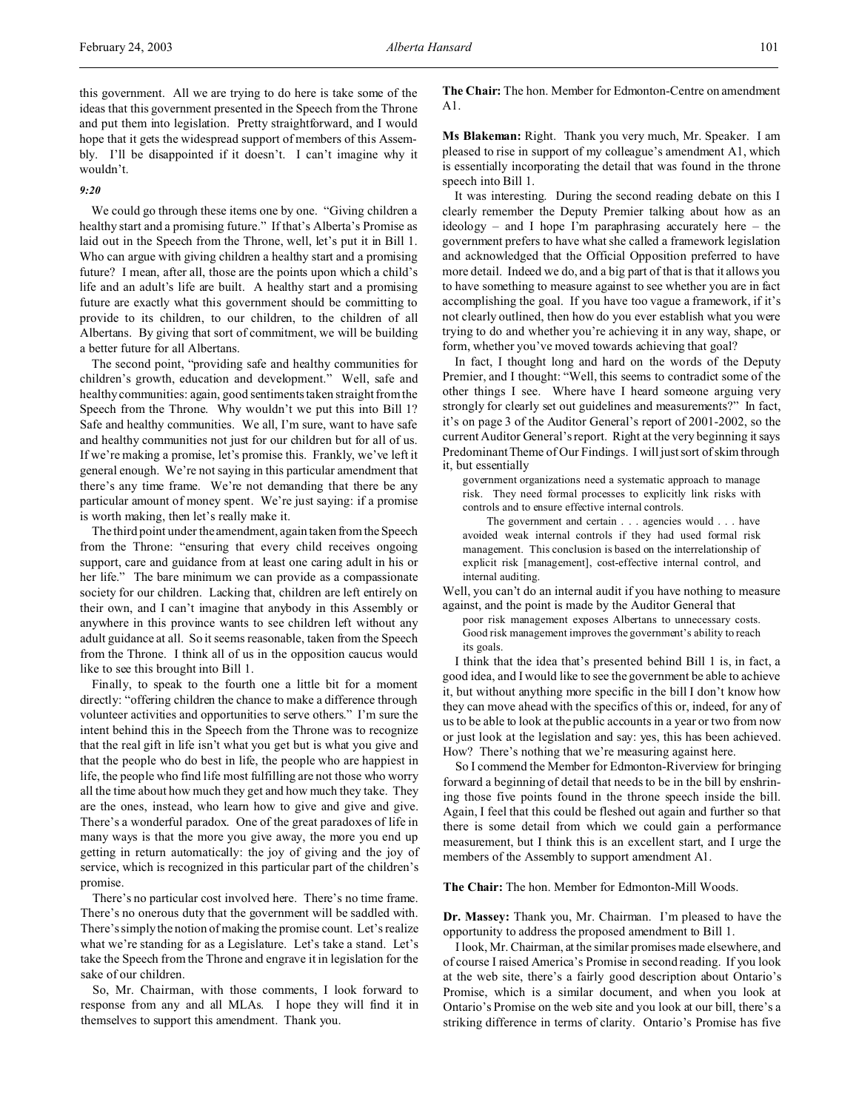this government. All we are trying to do here is take some of the ideas that this government presented in the Speech from the Throne and put them into legislation. Pretty straightforward, and I would hope that it gets the widespread support of members of this Assembly. I'll be disappointed if it doesn't. I can't imagine why it wouldn't.

### *9:20*

We could go through these items one by one. "Giving children a healthy start and a promising future." If that's Alberta's Promise as laid out in the Speech from the Throne, well, let's put it in Bill 1. Who can argue with giving children a healthy start and a promising future? I mean, after all, those are the points upon which a child's life and an adult's life are built. A healthy start and a promising future are exactly what this government should be committing to provide to its children, to our children, to the children of all Albertans. By giving that sort of commitment, we will be building a better future for all Albertans.

The second point, "providing safe and healthy communities for children's growth, education and development." Well, safe and healthy communities: again, good sentiments taken straight from the Speech from the Throne. Why wouldn't we put this into Bill 1? Safe and healthy communities. We all, I'm sure, want to have safe and healthy communities not just for our children but for all of us. If we're making a promise, let's promise this. Frankly, we've left it general enough. We're not saying in this particular amendment that there's any time frame. We're not demanding that there be any particular amount of money spent. We're just saying: if a promise is worth making, then let's really make it.

The third point under the amendment, again taken from the Speech from the Throne: "ensuring that every child receives ongoing support, care and guidance from at least one caring adult in his or her life." The bare minimum we can provide as a compassionate society for our children. Lacking that, children are left entirely on their own, and I can't imagine that anybody in this Assembly or anywhere in this province wants to see children left without any adult guidance at all. So it seems reasonable, taken from the Speech from the Throne. I think all of us in the opposition caucus would like to see this brought into Bill 1.

Finally, to speak to the fourth one a little bit for a moment directly: "offering children the chance to make a difference through volunteer activities and opportunities to serve others." I'm sure the intent behind this in the Speech from the Throne was to recognize that the real gift in life isn't what you get but is what you give and that the people who do best in life, the people who are happiest in life, the people who find life most fulfilling are not those who worry all the time about how much they get and how much they take. They are the ones, instead, who learn how to give and give and give. There's a wonderful paradox. One of the great paradoxes of life in many ways is that the more you give away, the more you end up getting in return automatically: the joy of giving and the joy of service, which is recognized in this particular part of the children's promise.

There's no particular cost involved here. There's no time frame. There's no onerous duty that the government will be saddled with. There's simply the notion of making the promise count. Let's realize what we're standing for as a Legislature. Let's take a stand. Let's take the Speech from the Throne and engrave it in legislation for the sake of our children.

So, Mr. Chairman, with those comments, I look forward to response from any and all MLAs. I hope they will find it in themselves to support this amendment. Thank you.

**The Chair:** The hon. Member for Edmonton-Centre on amendment A1.

**Ms Blakeman:** Right. Thank you very much, Mr. Speaker. I am pleased to rise in support of my colleague's amendment A1, which is essentially incorporating the detail that was found in the throne speech into Bill 1.

It was interesting. During the second reading debate on this I clearly remember the Deputy Premier talking about how as an ideology – and I hope I'm paraphrasing accurately here – the government prefers to have what she called a framework legislation and acknowledged that the Official Opposition preferred to have more detail. Indeed we do, and a big part of that is that it allows you to have something to measure against to see whether you are in fact accomplishing the goal. If you have too vague a framework, if it's not clearly outlined, then how do you ever establish what you were trying to do and whether you're achieving it in any way, shape, or form, whether you've moved towards achieving that goal?

In fact, I thought long and hard on the words of the Deputy Premier, and I thought: "Well, this seems to contradict some of the other things I see. Where have I heard someone arguing very strongly for clearly set out guidelines and measurements?" In fact, it's on page 3 of the Auditor General's report of 2001-2002, so the current Auditor General's report. Right at the very beginning it says Predominant Theme of Our Findings. I will just sort of skim through it, but essentially

government organizations need a systematic approach to manage risk. They need formal processes to explicitly link risks with controls and to ensure effective internal controls.

The government and certain . . . agencies would . . . have avoided weak internal controls if they had used formal risk management. This conclusion is based on the interrelationship of explicit risk [management], cost-effective internal control, and internal auditing.

Well, you can't do an internal audit if you have nothing to measure against, and the point is made by the Auditor General that

poor risk management exposes Albertans to unnecessary costs. Good risk management improves the government's ability to reach its goals.

I think that the idea that's presented behind Bill 1 is, in fact, a good idea, and I would like to see the government be able to achieve it, but without anything more specific in the bill I don't know how they can move ahead with the specifics of this or, indeed, for any of us to be able to look at the public accounts in a year or two from now or just look at the legislation and say: yes, this has been achieved. How? There's nothing that we're measuring against here.

So I commend the Member for Edmonton-Riverview for bringing forward a beginning of detail that needs to be in the bill by enshrining those five points found in the throne speech inside the bill. Again, I feel that this could be fleshed out again and further so that there is some detail from which we could gain a performance measurement, but I think this is an excellent start, and I urge the members of the Assembly to support amendment A1.

**The Chair:** The hon. Member for Edmonton-Mill Woods.

**Dr. Massey:** Thank you, Mr. Chairman. I'm pleased to have the opportunity to address the proposed amendment to Bill 1.

I look, Mr. Chairman, at the similar promises made elsewhere, and of course I raised America's Promise in second reading. If you look at the web site, there's a fairly good description about Ontario's Promise, which is a similar document, and when you look at Ontario's Promise on the web site and you look at our bill, there's a striking difference in terms of clarity. Ontario's Promise has five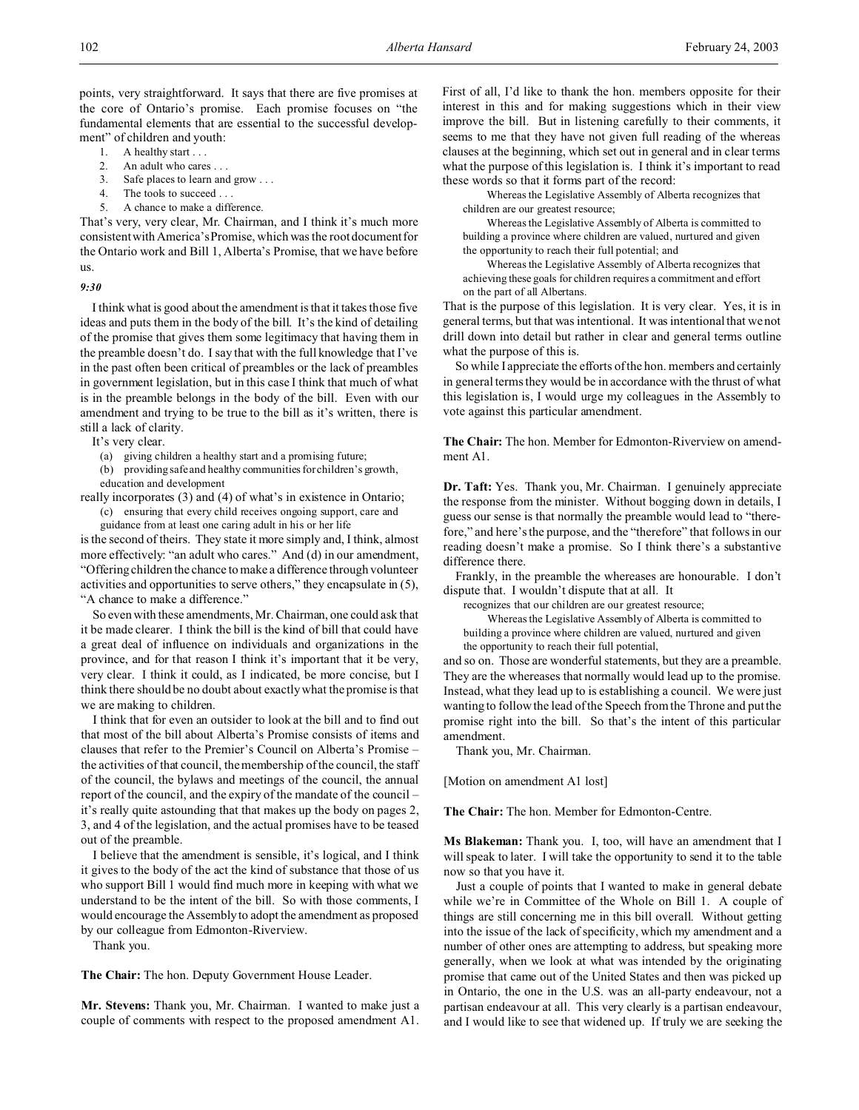points, very straightforward. It says that there are five promises at the core of Ontario's promise. Each promise focuses on "the fundamental elements that are essential to the successful development" of children and youth:

- 1. A healthy start . . .
- 2. An adult who cares . . .
- 3. Safe places to learn and grow . . .
- 4. The tools to succeed . . .
- 5. A chance to make a difference.

That's very, very clear, Mr. Chairman, and I think it's much more consistent with America's Promise, which was the root document for the Ontario work and Bill 1, Alberta's Promise, that we have before us.

#### *9:30*

I think what is good about the amendment is that it takes those five ideas and puts them in the body of the bill. It's the kind of detailing of the promise that gives them some legitimacy that having them in the preamble doesn't do. I say that with the full knowledge that I've in the past often been critical of preambles or the lack of preambles in government legislation, but in this case I think that much of what is in the preamble belongs in the body of the bill. Even with our amendment and trying to be true to the bill as it's written, there is still a lack of clarity.

It's very clear.

(a) giving children a healthy start and a promising future;

(b) providing safe and healthy communities for children's growth,

education and development

really incorporates (3) and (4) of what's in existence in Ontario;

(c) ensuring that every child receives ongoing support, care and

guidance from at least one caring adult in his or her life is the second of theirs. They state it more simply and, I think, almost more effectively: "an adult who cares." And (d) in our amendment,

"Offering children the chance to make a difference through volunteer activities and opportunities to serve others," they encapsulate in (5), "A chance to make a difference."

So even with these amendments, Mr. Chairman, one could ask that it be made clearer. I think the bill is the kind of bill that could have a great deal of influence on individuals and organizations in the province, and for that reason I think it's important that it be very, very clear. I think it could, as I indicated, be more concise, but I think there should be no doubt about exactly what the promise is that we are making to children.

I think that for even an outsider to look at the bill and to find out that most of the bill about Alberta's Promise consists of items and clauses that refer to the Premier's Council on Alberta's Promise – the activities of that council, the membership of the council, the staff of the council, the bylaws and meetings of the council, the annual report of the council, and the expiry of the mandate of the council – it's really quite astounding that that makes up the body on pages 2, 3, and 4 of the legislation, and the actual promises have to be teased out of the preamble.

I believe that the amendment is sensible, it's logical, and I think it gives to the body of the act the kind of substance that those of us who support Bill 1 would find much more in keeping with what we understand to be the intent of the bill. So with those comments, I would encourage the Assembly to adopt the amendment as proposed by our colleague from Edmonton-Riverview.

Thank you.

**The Chair:** The hon. Deputy Government House Leader.

**Mr. Stevens:** Thank you, Mr. Chairman. I wanted to make just a couple of comments with respect to the proposed amendment A1. First of all, I'd like to thank the hon. members opposite for their interest in this and for making suggestions which in their view improve the bill. But in listening carefully to their comments, it seems to me that they have not given full reading of the whereas clauses at the beginning, which set out in general and in clear terms what the purpose of this legislation is. I think it's important to read these words so that it forms part of the record:

Whereas the Legislative Assembly of Alberta recognizes that children are our greatest resource;

Whereas the Legislative Assembly of Alberta is committed to building a province where children are valued, nurtured and given the opportunity to reach their full potential; and

Whereas the Legislative Assembly of Alberta recognizes that achieving these goals for children requires a commitment and effort on the part of all Albertans.

That is the purpose of this legislation. It is very clear. Yes, it is in general terms, but that was intentional. It was intentional that we not drill down into detail but rather in clear and general terms outline what the purpose of this is.

So while I appreciate the efforts of the hon. members and certainly in general terms they would be in accordance with the thrust of what this legislation is, I would urge my colleagues in the Assembly to vote against this particular amendment.

**The Chair:** The hon. Member for Edmonton-Riverview on amendment A1

**Dr. Taft:** Yes. Thank you, Mr. Chairman. I genuinely appreciate the response from the minister. Without bogging down in details, I guess our sense is that normally the preamble would lead to "therefore," and here's the purpose, and the "therefore" that follows in our reading doesn't make a promise. So I think there's a substantive difference there.

Frankly, in the preamble the whereases are honourable. I don't dispute that. I wouldn't dispute that at all. It

recognizes that our children are our greatest resource;

Whereas the Legislative Assembly of Alberta is committed to building a province where children are valued, nurtured and given the opportunity to reach their full potential,

and so on. Those are wonderful statements, but they are a preamble. They are the whereases that normally would lead up to the promise. Instead, what they lead up to is establishing a council. We were just wanting to follow the lead of the Speech from the Throne and put the promise right into the bill. So that's the intent of this particular amendment.

Thank you, Mr. Chairman.

[Motion on amendment A1 lost]

**The Chair:** The hon. Member for Edmonton-Centre.

**Ms Blakeman:** Thank you. I, too, will have an amendment that I will speak to later. I will take the opportunity to send it to the table now so that you have it.

Just a couple of points that I wanted to make in general debate while we're in Committee of the Whole on Bill 1. A couple of things are still concerning me in this bill overall. Without getting into the issue of the lack of specificity, which my amendment and a number of other ones are attempting to address, but speaking more generally, when we look at what was intended by the originating promise that came out of the United States and then was picked up in Ontario, the one in the U.S. was an all-party endeavour, not a partisan endeavour at all. This very clearly is a partisan endeavour, and I would like to see that widened up. If truly we are seeking the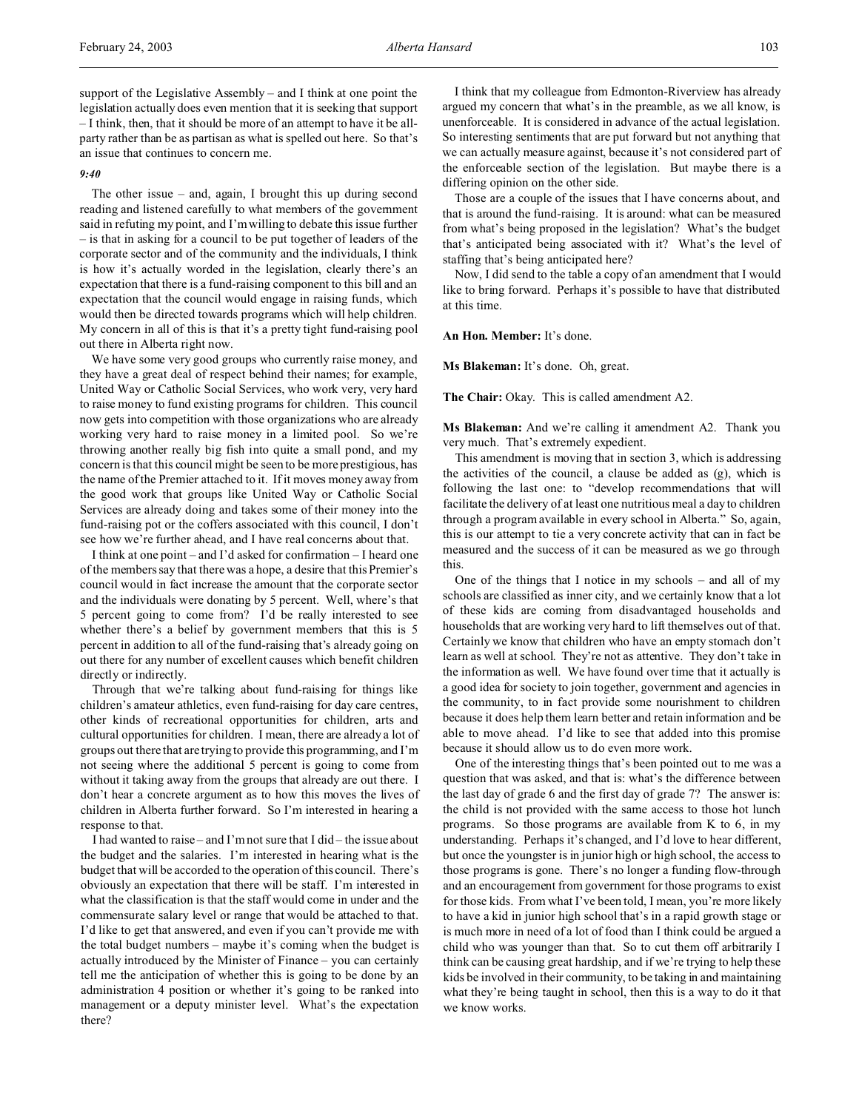support of the Legislative Assembly – and I think at one point the legislation actually does even mention that it is seeking that support – I think, then, that it should be more of an attempt to have it be allparty rather than be as partisan as what is spelled out here. So that's an issue that continues to concern me.

## *9:40*

The other issue – and, again, I brought this up during second reading and listened carefully to what members of the government said in refuting my point, and I'm willing to debate this issue further – is that in asking for a council to be put together of leaders of the corporate sector and of the community and the individuals, I think is how it's actually worded in the legislation, clearly there's an expectation that there is a fund-raising component to this bill and an expectation that the council would engage in raising funds, which would then be directed towards programs which will help children. My concern in all of this is that it's a pretty tight fund-raising pool out there in Alberta right now.

We have some very good groups who currently raise money, and they have a great deal of respect behind their names; for example, United Way or Catholic Social Services, who work very, very hard to raise money to fund existing programs for children. This council now gets into competition with those organizations who are already working very hard to raise money in a limited pool. So we're throwing another really big fish into quite a small pond, and my concern is that this council might be seen to be more prestigious, has the name of the Premier attached to it. If it moves money away from the good work that groups like United Way or Catholic Social Services are already doing and takes some of their money into the fund-raising pot or the coffers associated with this council, I don't see how we're further ahead, and I have real concerns about that.

I think at one point – and I'd asked for confirmation – I heard one of the members say that there was a hope, a desire that this Premier's council would in fact increase the amount that the corporate sector and the individuals were donating by 5 percent. Well, where's that 5 percent going to come from? I'd be really interested to see whether there's a belief by government members that this is 5 percent in addition to all of the fund-raising that's already going on out there for any number of excellent causes which benefit children directly or indirectly.

Through that we're talking about fund-raising for things like children's amateur athletics, even fund-raising for day care centres, other kinds of recreational opportunities for children, arts and cultural opportunities for children. I mean, there are already a lot of groups out there that are trying to provide this programming, and I'm not seeing where the additional 5 percent is going to come from without it taking away from the groups that already are out there. I don't hear a concrete argument as to how this moves the lives of children in Alberta further forward. So I'm interested in hearing a response to that.

I had wanted to raise – and I'm not sure that I did – the issue about the budget and the salaries. I'm interested in hearing what is the budget that will be accorded to the operation of this council. There's obviously an expectation that there will be staff. I'm interested in what the classification is that the staff would come in under and the commensurate salary level or range that would be attached to that. I'd like to get that answered, and even if you can't provide me with the total budget numbers – maybe it's coming when the budget is actually introduced by the Minister of Finance – you can certainly tell me the anticipation of whether this is going to be done by an administration 4 position or whether it's going to be ranked into management or a deputy minister level. What's the expectation there?

I think that my colleague from Edmonton-Riverview has already argued my concern that what's in the preamble, as we all know, is unenforceable. It is considered in advance of the actual legislation. So interesting sentiments that are put forward but not anything that we can actually measure against, because it's not considered part of the enforceable section of the legislation. But maybe there is a differing opinion on the other side.

Those are a couple of the issues that I have concerns about, and that is around the fund-raising. It is around: what can be measured from what's being proposed in the legislation? What's the budget that's anticipated being associated with it? What's the level of staffing that's being anticipated here?

Now, I did send to the table a copy of an amendment that I would like to bring forward. Perhaps it's possible to have that distributed at this time.

**An Hon. Member:** It's done.

**Ms Blakeman:** It's done. Oh, great.

**The Chair:** Okay. This is called amendment A2.

**Ms Blakeman:** And we're calling it amendment A2. Thank you very much. That's extremely expedient.

This amendment is moving that in section 3, which is addressing the activities of the council, a clause be added as (g), which is following the last one: to "develop recommendations that will facilitate the delivery of at least one nutritious meal a day to children through a program available in every school in Alberta." So, again, this is our attempt to tie a very concrete activity that can in fact be measured and the success of it can be measured as we go through this.

One of the things that I notice in my schools – and all of my schools are classified as inner city, and we certainly know that a lot of these kids are coming from disadvantaged households and households that are working very hard to lift themselves out of that. Certainly we know that children who have an empty stomach don't learn as well at school. They're not as attentive. They don't take in the information as well. We have found over time that it actually is a good idea for society to join together, government and agencies in the community, to in fact provide some nourishment to children because it does help them learn better and retain information and be able to move ahead. I'd like to see that added into this promise because it should allow us to do even more work.

One of the interesting things that's been pointed out to me was a question that was asked, and that is: what's the difference between the last day of grade 6 and the first day of grade 7? The answer is: the child is not provided with the same access to those hot lunch programs. So those programs are available from K to 6, in my understanding. Perhaps it's changed, and I'd love to hear different, but once the youngster is in junior high or high school, the access to those programs is gone. There's no longer a funding flow-through and an encouragement from government for those programs to exist for those kids. From what I've been told, I mean, you're more likely to have a kid in junior high school that's in a rapid growth stage or is much more in need of a lot of food than I think could be argued a child who was younger than that. So to cut them off arbitrarily I think can be causing great hardship, and if we're trying to help these kids be involved in their community, to be taking in and maintaining what they're being taught in school, then this is a way to do it that we know works.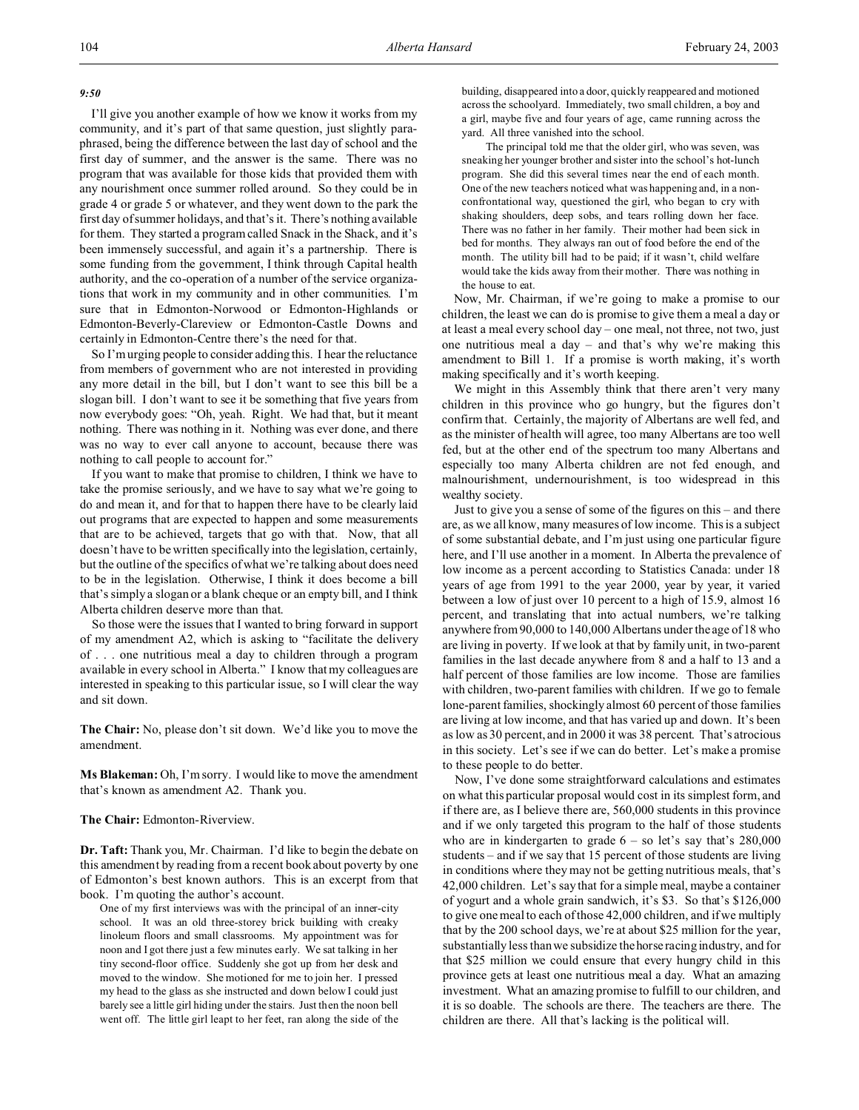### *9:50*

I'll give you another example of how we know it works from my community, and it's part of that same question, just slightly paraphrased, being the difference between the last day of school and the first day of summer, and the answer is the same. There was no program that was available for those kids that provided them with any nourishment once summer rolled around. So they could be in grade 4 or grade 5 or whatever, and they went down to the park the first day of summer holidays, and that's it. There's nothing available for them. They started a program called Snack in the Shack, and it's been immensely successful, and again it's a partnership. There is some funding from the government, I think through Capital health authority, and the co-operation of a number of the service organizations that work in my community and in other communities. I'm sure that in Edmonton-Norwood or Edmonton-Highlands or Edmonton-Beverly-Clareview or Edmonton-Castle Downs and certainly in Edmonton-Centre there's the need for that.

So I'm urging people to consider adding this. I hear the reluctance from members of government who are not interested in providing any more detail in the bill, but I don't want to see this bill be a slogan bill. I don't want to see it be something that five years from now everybody goes: "Oh, yeah. Right. We had that, but it meant nothing. There was nothing in it. Nothing was ever done, and there was no way to ever call anyone to account, because there was nothing to call people to account for."

If you want to make that promise to children, I think we have to take the promise seriously, and we have to say what we're going to do and mean it, and for that to happen there have to be clearly laid out programs that are expected to happen and some measurements that are to be achieved, targets that go with that. Now, that all doesn't have to be written specifically into the legislation, certainly, but the outline of the specifics of what we're talking about does need to be in the legislation. Otherwise, I think it does become a bill that's simply a slogan or a blank cheque or an empty bill, and I think Alberta children deserve more than that.

So those were the issues that I wanted to bring forward in support of my amendment A2, which is asking to "facilitate the delivery of . . . one nutritious meal a day to children through a program available in every school in Alberta." I know that my colleagues are interested in speaking to this particular issue, so I will clear the way and sit down.

**The Chair:** No, please don't sit down. We'd like you to move the amendment.

**Ms Blakeman:** Oh, I'm sorry. I would like to move the amendment that's known as amendment A2. Thank you.

#### **The Chair:** Edmonton-Riverview.

**Dr. Taft:** Thank you, Mr. Chairman. I'd like to begin the debate on this amendment by reading from a recent book about poverty by one of Edmonton's best known authors. This is an excerpt from that book. I'm quoting the author's account.

One of my first interviews was with the principal of an inner-city school. It was an old three-storey brick building with creaky linoleum floors and small classrooms. My appointment was for noon and I got there just a few minutes early. We sat talking in her tiny second-floor office. Suddenly she got up from her desk and moved to the window. She motioned for me to join her. I pressed my head to the glass as she instructed and down below I could just barely see a little girl hiding under the stairs. Just then the noon bell went off. The little girl leapt to her feet, ran along the side of the building, disappeared into a door, quickly reappeared and motioned across the schoolyard. Immediately, two small children, a boy and a girl, maybe five and four years of age, came running across the yard. All three vanished into the school.

The principal told me that the older girl, who was seven, was sneaking her younger brother and sister into the school's hot-lunch program. She did this several times near the end of each month. One of the new teachers noticed what was happening and, in a nonconfrontational way, questioned the girl, who began to cry with shaking shoulders, deep sobs, and tears rolling down her face. There was no father in her family. Their mother had been sick in bed for months. They always ran out of food before the end of the month. The utility bill had to be paid; if it wasn't, child welfare would take the kids away from their mother. There was nothing in the house to eat.

Now, Mr. Chairman, if we're going to make a promise to our children, the least we can do is promise to give them a meal a day or at least a meal every school day – one meal, not three, not two, just one nutritious meal a day – and that's why we're making this amendment to Bill 1. If a promise is worth making, it's worth making specifically and it's worth keeping.

We might in this Assembly think that there aren't very many children in this province who go hungry, but the figures don't confirm that. Certainly, the majority of Albertans are well fed, and as the minister of health will agree, too many Albertans are too well fed, but at the other end of the spectrum too many Albertans and especially too many Alberta children are not fed enough, and malnourishment, undernourishment, is too widespread in this wealthy society.

Just to give you a sense of some of the figures on this – and there are, as we all know, many measures of low income. This is a subject of some substantial debate, and I'm just using one particular figure here, and I'll use another in a moment. In Alberta the prevalence of low income as a percent according to Statistics Canada: under 18 years of age from 1991 to the year 2000, year by year, it varied between a low of just over 10 percent to a high of 15.9, almost 16 percent, and translating that into actual numbers, we're talking anywhere from 90,000 to 140,000 Albertans under the age of 18 who are living in poverty. If we look at that by family unit, in two-parent families in the last decade anywhere from 8 and a half to 13 and a half percent of those families are low income. Those are families with children, two-parent families with children. If we go to female lone-parent families, shockingly almost 60 percent of those families are living at low income, and that has varied up and down. It's been as low as 30 percent, and in 2000 it was 38 percent. That's atrocious in this society. Let's see if we can do better. Let's make a promise to these people to do better.

Now, I've done some straightforward calculations and estimates on what this particular proposal would cost in its simplest form, and if there are, as I believe there are, 560,000 students in this province and if we only targeted this program to the half of those students who are in kindergarten to grade  $6 -$  so let's say that's  $280,000$ students – and if we say that 15 percent of those students are living in conditions where they may not be getting nutritious meals, that's 42,000 children. Let's say that for a simple meal, maybe a container of yogurt and a whole grain sandwich, it's \$3. So that's \$126,000 to give one meal to each of those 42,000 children, and if we multiply that by the 200 school days, we're at about \$25 million for the year, substantially less than we subsidize the horse racing industry, and for that \$25 million we could ensure that every hungry child in this province gets at least one nutritious meal a day. What an amazing investment. What an amazing promise to fulfill to our children, and it is so doable. The schools are there. The teachers are there. The children are there. All that's lacking is the political will.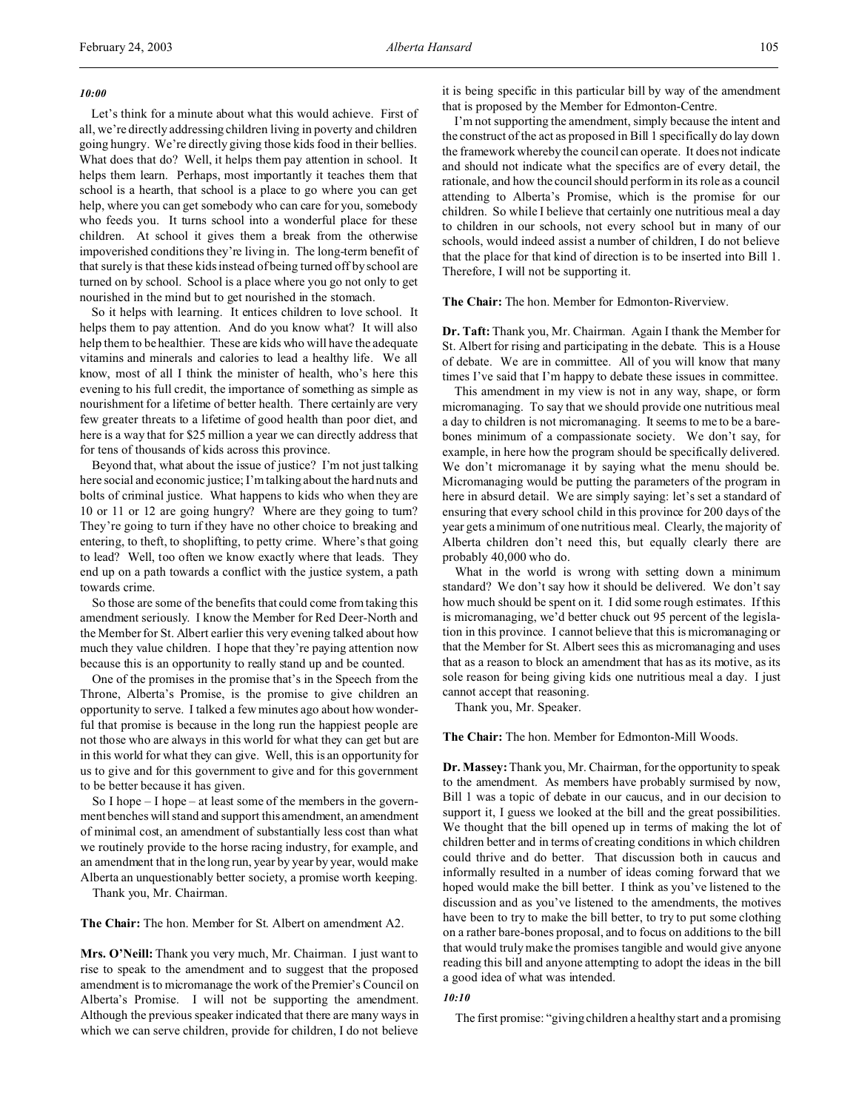# *10:00*

Let's think for a minute about what this would achieve. First of all, we're directly addressing children living in poverty and children going hungry. We're directly giving those kids food in their bellies. What does that do? Well, it helps them pay attention in school. It helps them learn. Perhaps, most importantly it teaches them that school is a hearth, that school is a place to go where you can get help, where you can get somebody who can care for you, somebody who feeds you. It turns school into a wonderful place for these children. At school it gives them a break from the otherwise impoverished conditions they're living in. The long-term benefit of that surely is that these kids instead of being turned off by school are turned on by school. School is a place where you go not only to get nourished in the mind but to get nourished in the stomach.

So it helps with learning. It entices children to love school. It helps them to pay attention. And do you know what? It will also help them to be healthier. These are kids who will have the adequate vitamins and minerals and calories to lead a healthy life. We all know, most of all I think the minister of health, who's here this evening to his full credit, the importance of something as simple as nourishment for a lifetime of better health. There certainly are very few greater threats to a lifetime of good health than poor diet, and here is a way that for \$25 million a year we can directly address that for tens of thousands of kids across this province.

Beyond that, what about the issue of justice? I'm not just talking here social and economic justice; I'm talking about the hard nuts and bolts of criminal justice. What happens to kids who when they are 10 or 11 or 12 are going hungry? Where are they going to turn? They're going to turn if they have no other choice to breaking and entering, to theft, to shoplifting, to petty crime. Where's that going to lead? Well, too often we know exactly where that leads. They end up on a path towards a conflict with the justice system, a path towards crime.

So those are some of the benefits that could come from taking this amendment seriously. I know the Member for Red Deer-North and the Member for St. Albert earlier this very evening talked about how much they value children. I hope that they're paying attention now because this is an opportunity to really stand up and be counted.

One of the promises in the promise that's in the Speech from the Throne, Alberta's Promise, is the promise to give children an opportunity to serve. I talked a few minutes ago about how wonderful that promise is because in the long run the happiest people are not those who are always in this world for what they can get but are in this world for what they can give. Well, this is an opportunity for us to give and for this government to give and for this government to be better because it has given.

So I hope – I hope – at least some of the members in the government benches will stand and support this amendment, an amendment of minimal cost, an amendment of substantially less cost than what we routinely provide to the horse racing industry, for example, and an amendment that in the long run, year by year by year, would make Alberta an unquestionably better society, a promise worth keeping.

Thank you, Mr. Chairman.

**The Chair:** The hon. Member for St. Albert on amendment A2.

**Mrs. O'Neill:** Thank you very much, Mr. Chairman. I just want to rise to speak to the amendment and to suggest that the proposed amendment is to micromanage the work of the Premier's Council on Alberta's Promise. I will not be supporting the amendment. Although the previous speaker indicated that there are many ways in which we can serve children, provide for children, I do not believe

it is being specific in this particular bill by way of the amendment that is proposed by the Member for Edmonton-Centre.

I'm not supporting the amendment, simply because the intent and the construct of the act as proposed in Bill 1 specifically do lay down the framework whereby the council can operate. It does not indicate and should not indicate what the specifics are of every detail, the rationale, and how the council should perform in its role as a council attending to Alberta's Promise, which is the promise for our children. So while I believe that certainly one nutritious meal a day to children in our schools, not every school but in many of our schools, would indeed assist a number of children, I do not believe that the place for that kind of direction is to be inserted into Bill 1. Therefore, I will not be supporting it.

### **The Chair:** The hon. Member for Edmonton-Riverview.

**Dr. Taft:** Thank you, Mr. Chairman. Again I thank the Member for St. Albert for rising and participating in the debate. This is a House of debate. We are in committee. All of you will know that many times I've said that I'm happy to debate these issues in committee.

This amendment in my view is not in any way, shape, or form micromanaging. To say that we should provide one nutritious meal a day to children is not micromanaging. It seems to me to be a barebones minimum of a compassionate society. We don't say, for example, in here how the program should be specifically delivered. We don't micromanage it by saying what the menu should be. Micromanaging would be putting the parameters of the program in here in absurd detail. We are simply saying: let's set a standard of ensuring that every school child in this province for 200 days of the year gets a minimum of one nutritious meal. Clearly, the majority of Alberta children don't need this, but equally clearly there are probably 40,000 who do.

What in the world is wrong with setting down a minimum standard? We don't say how it should be delivered. We don't say how much should be spent on it. I did some rough estimates. If this is micromanaging, we'd better chuck out 95 percent of the legislation in this province. I cannot believe that this is micromanaging or that the Member for St. Albert sees this as micromanaging and uses that as a reason to block an amendment that has as its motive, as its sole reason for being giving kids one nutritious meal a day. I just cannot accept that reasoning.

Thank you, Mr. Speaker.

# **The Chair:** The hon. Member for Edmonton-Mill Woods.

**Dr. Massey:** Thank you, Mr. Chairman, for the opportunity to speak to the amendment. As members have probably surmised by now, Bill 1 was a topic of debate in our caucus, and in our decision to support it, I guess we looked at the bill and the great possibilities. We thought that the bill opened up in terms of making the lot of children better and in terms of creating conditions in which children could thrive and do better. That discussion both in caucus and informally resulted in a number of ideas coming forward that we hoped would make the bill better. I think as you've listened to the discussion and as you've listened to the amendments, the motives have been to try to make the bill better, to try to put some clothing on a rather bare-bones proposal, and to focus on additions to the bill that would truly make the promises tangible and would give anyone reading this bill and anyone attempting to adopt the ideas in the bill a good idea of what was intended.

# *10:10*

The first promise: "giving children a healthy start and a promising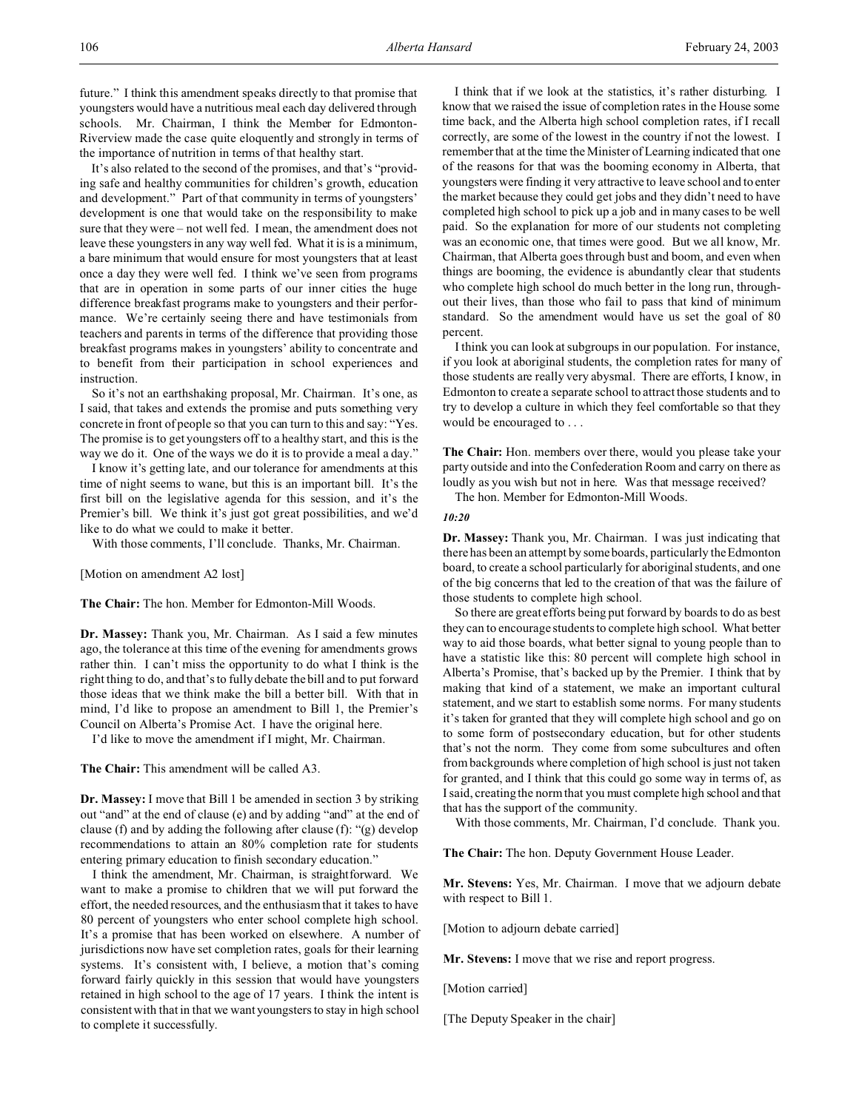future." I think this amendment speaks directly to that promise that youngsters would have a nutritious meal each day delivered through schools. Mr. Chairman, I think the Member for Edmonton-Riverview made the case quite eloquently and strongly in terms of the importance of nutrition in terms of that healthy start.

It's also related to the second of the promises, and that's "providing safe and healthy communities for children's growth, education and development." Part of that community in terms of youngsters' development is one that would take on the responsibility to make sure that they were – not well fed. I mean, the amendment does not leave these youngsters in any way well fed. What it is is a minimum, a bare minimum that would ensure for most youngsters that at least once a day they were well fed. I think we've seen from programs that are in operation in some parts of our inner cities the huge difference breakfast programs make to youngsters and their performance. We're certainly seeing there and have testimonials from teachers and parents in terms of the difference that providing those breakfast programs makes in youngsters' ability to concentrate and to benefit from their participation in school experiences and instruction.

So it's not an earthshaking proposal, Mr. Chairman. It's one, as I said, that takes and extends the promise and puts something very concrete in front of people so that you can turn to this and say: "Yes. The promise is to get youngsters off to a healthy start, and this is the way we do it. One of the ways we do it is to provide a meal a day."

I know it's getting late, and our tolerance for amendments at this time of night seems to wane, but this is an important bill. It's the first bill on the legislative agenda for this session, and it's the Premier's bill. We think it's just got great possibilities, and we'd like to do what we could to make it better.

With those comments, I'll conclude. Thanks, Mr. Chairman.

[Motion on amendment A2 lost]

**The Chair:** The hon. Member for Edmonton-Mill Woods.

**Dr. Massey:** Thank you, Mr. Chairman. As I said a few minutes ago, the tolerance at this time of the evening for amendments grows rather thin. I can't miss the opportunity to do what I think is the right thing to do, and that's to fully debate the bill and to put forward those ideas that we think make the bill a better bill. With that in mind, I'd like to propose an amendment to Bill 1, the Premier's Council on Alberta's Promise Act. I have the original here.

I'd like to move the amendment if I might, Mr. Chairman.

**The Chair:** This amendment will be called A3.

**Dr. Massey:** I move that Bill 1 be amended in section 3 by striking out "and" at the end of clause (e) and by adding "and" at the end of clause (f) and by adding the following after clause (f): "(g) develop recommendations to attain an 80% completion rate for students entering primary education to finish secondary education."

I think the amendment, Mr. Chairman, is straightforward. We want to make a promise to children that we will put forward the effort, the needed resources, and the enthusiasm that it takes to have 80 percent of youngsters who enter school complete high school. It's a promise that has been worked on elsewhere. A number of jurisdictions now have set completion rates, goals for their learning systems. It's consistent with, I believe, a motion that's coming forward fairly quickly in this session that would have youngsters retained in high school to the age of 17 years. I think the intent is consistent with that in that we want youngsters to stay in high school to complete it successfully.

I think that if we look at the statistics, it's rather disturbing. I know that we raised the issue of completion rates in the House some time back, and the Alberta high school completion rates, if I recall correctly, are some of the lowest in the country if not the lowest. I remember that at the time the Minister of Learning indicated that one of the reasons for that was the booming economy in Alberta, that youngsters were finding it very attractive to leave school and to enter the market because they could get jobs and they didn't need to have completed high school to pick up a job and in many cases to be well paid. So the explanation for more of our students not completing was an economic one, that times were good. But we all know, Mr. Chairman, that Alberta goes through bust and boom, and even when things are booming, the evidence is abundantly clear that students who complete high school do much better in the long run, throughout their lives, than those who fail to pass that kind of minimum standard. So the amendment would have us set the goal of 80 percent.

I think you can look at subgroups in our population. For instance, if you look at aboriginal students, the completion rates for many of those students are really very abysmal. There are efforts, I know, in Edmonton to create a separate school to attract those students and to try to develop a culture in which they feel comfortable so that they would be encouraged to . . .

**The Chair:** Hon. members over there, would you please take your party outside and into the Confederation Room and carry on there as loudly as you wish but not in here. Was that message received?

The hon. Member for Edmonton-Mill Woods.

#### *10:20*

**Dr. Massey:** Thank you, Mr. Chairman. I was just indicating that there has been an attempt by some boards, particularly the Edmonton board, to create a school particularly for aboriginal students, and one of the big concerns that led to the creation of that was the failure of those students to complete high school.

So there are great efforts being put forward by boards to do as best they can to encourage students to complete high school. What better way to aid those boards, what better signal to young people than to have a statistic like this: 80 percent will complete high school in Alberta's Promise, that's backed up by the Premier. I think that by making that kind of a statement, we make an important cultural statement, and we start to establish some norms. For many students it's taken for granted that they will complete high school and go on to some form of postsecondary education, but for other students that's not the norm. They come from some subcultures and often from backgrounds where completion of high school is just not taken for granted, and I think that this could go some way in terms of, as I said, creating the norm that you must complete high school and that that has the support of the community.

With those comments, Mr. Chairman, I'd conclude. Thank you.

**The Chair:** The hon. Deputy Government House Leader.

**Mr. Stevens:** Yes, Mr. Chairman. I move that we adjourn debate with respect to Bill 1.

[Motion to adjourn debate carried]

**Mr. Stevens:** I move that we rise and report progress.

[Motion carried]

[The Deputy Speaker in the chair]